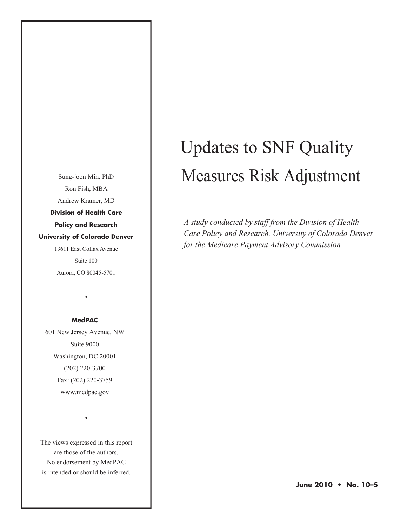Sung-joon Min, PhD Ron Fish, MBA Andrew Kramer, MD **Division of Health Care Policy and Research University of Colorado Denver** 13611 East Colfax Avenue Suite 100

Aurora, CO 80045-5701

•

#### **MedPAC**

601 New Jersey Avenue, NW Suite 9000 Washington, DC 20001 (202) 220-3700 Fax: (202) 220-3759 www.medpac.gov

The views expressed in this report are those of the authors. No endorsement by MedPAC is intended or should be inferred.

•

# Updates to SNF Quality

# Measures Risk Adjustment

*A study conducted by staff from the Division of Health Care Policy and Research, University of Colorado Denver for the Medicare Payment Advisory Commission*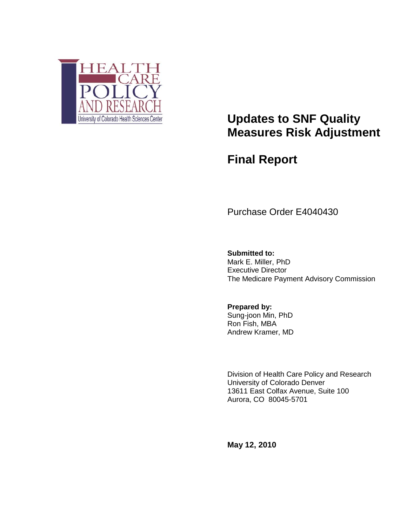

# **Updates to SNF Quality Measures Risk Adjustment**

**Final Report**

Purchase Order E4040430

**Submitted to:** Mark E. Miller, PhD Executive Director The Medicare Payment Advisory Commission

**Prepared by:** Sung-joon Min, PhD Ron Fish, MBA Andrew Kramer, MD

Division of Health Care Policy and Research University of Colorado Denver 13611 East Colfax Avenue, Suite 100 Aurora, CO 80045-5701

**May 12, 2010**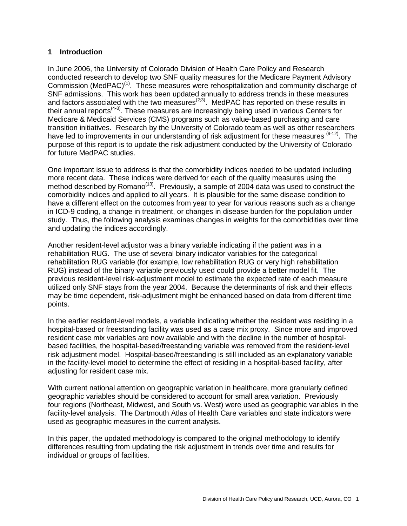#### **1 Introduction**

In June 2006, the University of Colorado Division of Health Care Policy and Research conducted research to develop two SNF quality measures for the Medicare Payment Advisory Commission (MedPAC)<sup>(1)</sup>. These measures were rehospitalization and community discharge of SNF admissions. This work has been updated annually to address trends in these measures and factors associated with the two measures $(2,3)$ . MedPAC has reported on these results in their annual reports<sup> $(4-8)$ </sup>. These measures are increasingly being used in various Centers for Medicare & Medicaid Services (CMS) programs such as value-based purchasing and care transition initiatives. Research by the University of Colorado team as well as other researchers have led to improvements in our understanding of risk adjustment for these measures  $(9-12)$ . The purpose of this report is to update the risk adjustment conducted by the University of Colorado for future MedPAC studies.

One important issue to address is that the comorbidity indices needed to be updated including more recent data. These indices were derived for each of the quality measures using the method described by Romano<sup>(13)</sup>. Previously, a sample of 2004 data was used to construct the comorbidity indices and applied to all years. It is plausible for the same disease condition to have a different effect on the outcomes from year to year for various reasons such as a change in ICD-9 coding, a change in treatment, or changes in disease burden for the population under study. Thus, the following analysis examines changes in weights for the comorbidities over time and updating the indices accordingly.

Another resident-level adjustor was a binary variable indicating if the patient was in a rehabilitation RUG. The use of several binary indicator variables for the categorical rehabilitation RUG variable (for example, low rehabilitation RUG or very high rehabilitation RUG) instead of the binary variable previously used could provide a better model fit. The previous resident-level risk-adjustment model to estimate the expected rate of each measure utilized only SNF stays from the year 2004. Because the determinants of risk and their effects may be time dependent, risk-adjustment might be enhanced based on data from different time points.

In the earlier resident-level models, a variable indicating whether the resident was residing in a hospital-based or freestanding facility was used as a case mix proxy. Since more and improved resident case mix variables are now available and with the decline in the number of hospitalbased facilities, the hospital-based/freestanding variable was removed from the resident-level risk adjustment model. Hospital-based/freestanding is still included as an explanatory variable in the facility-level model to determine the effect of residing in a hospital-based facility, after adjusting for resident case mix.

With current national attention on geographic variation in healthcare, more granularly defined geographic variables should be considered to account for small area variation. Previously four regions (Northeast, Midwest, and South vs. West) were used as geographic variables in the facility-level analysis. The Dartmouth Atlas of Health Care variables and state indicators were used as geographic measures in the current analysis.

In this paper, the updated methodology is compared to the original methodology to identify differences resulting from updating the risk adjustment in trends over time and results for individual or groups of facilities.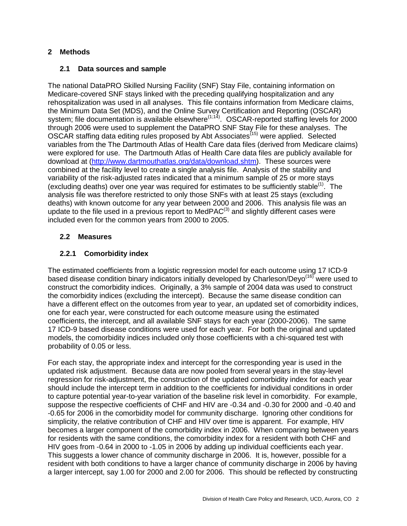# **2 Methods**

# **2.1 Data sources and sample**

The national DataPRO Skilled Nursing Facility (SNF) Stay File, containing information on Medicare-covered SNF stays linked with the preceding qualifying hospitalization and any rehospitalization was used in all analyses. This file contains information from Medicare claims, the Minimum Data Set (MDS), and the Online Survey Certification and Reporting (OSCAR) system; file documentation is available elsewhere<sup> $(1,14)$ </sup>. OSCAR-reported staffing levels for 2000 through 2006 were used to supplement the DataPRO SNF Stay File for these analyses. The OSCAR staffing data editing rules proposed by Abt Associates<sup>(15)</sup> were applied. Selected variables from the The Dartmouth Atlas of Health Care data files (derived from Medicare claims) were explored for use. The Dartmouth Atlas of Health Care data files are publicly available for download at [\(http://www.dartmouthatlas.org/data/download.shtm\)](http://www.dartmouthatlas.org/data/download.shtm). These sources were combined at the facility level to create a single analysis file. Analysis of the stability and variability of the risk-adjusted rates indicated that a minimum sample of 25 or more stays (excluding deaths) over one year was required for estimates to be sufficiently stable<sup>(1)</sup>. The analysis file was therefore restricted to only those SNFs with at least 25 stays (excluding deaths) with known outcome for any year between 2000 and 2006. This analysis file was an update to the file used in a previous report to Med $PAC^{(3)}$  and slightly different cases were included even for the common years from 2000 to 2005.

# **2.2 Measures**

# **2.2.1 Comorbidity index**

The estimated coefficients from a logistic regression model for each outcome using 17 ICD-9 based disease condition binary indicators initially developed by Charleson/Devo<sup>(16)</sup> were used to construct the comorbidity indices. Originally, a 3% sample of 2004 data was used to construct the comorbidity indices (excluding the intercept). Because the same disease condition can have a different effect on the outcomes from year to year, an updated set of comorbidity indices, one for each year, were constructed for each outcome measure using the estimated coefficients, the intercept, and all available SNF stays for each year (2000-2006). The same 17 ICD-9 based disease conditions were used for each year. For both the original and updated models, the comorbidity indices included only those coefficients with a chi-squared test with probability of 0.05 or less.

For each stay, the appropriate index and intercept for the corresponding year is used in the updated risk adjustment. Because data are now pooled from several years in the stay-level regression for risk-adjustment, the construction of the updated comorbidity index for each year should include the intercept term in addition to the coefficients for individual conditions in order to capture potential year-to-year variation of the baseline risk level in comorbidity. For example, suppose the respective coefficients of CHF and HIV are -0.34 and -0.30 for 2000 and -0.40 and -0.65 for 2006 in the comorbidity model for community discharge. Ignoring other conditions for simplicity, the relative contribution of CHF and HIV over time is apparent. For example, HIV becomes a larger component of the comorbidity index in 2006. When comparing between years for residents with the same conditions, the comorbidity index for a resident with both CHF and HIV goes from -0.64 in 2000 to -1.05 in 2006 by adding up individual coefficients each year. This suggests a lower chance of community discharge in 2006. It is, however, possible for a resident with both conditions to have a larger chance of community discharge in 2006 by having a larger intercept, say 1.00 for 2000 and 2.00 for 2006. This should be reflected by constructing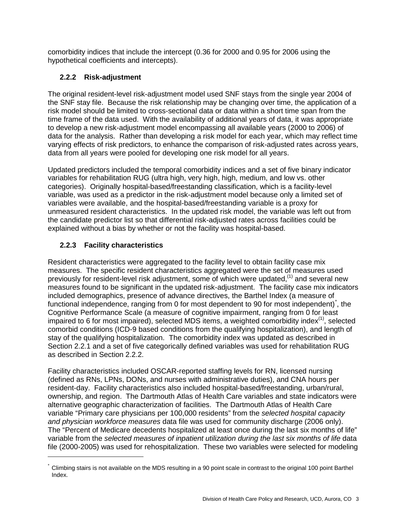comorbidity indices that include the intercept (0.36 for 2000 and 0.95 for 2006 using the hypothetical coefficients and intercepts).

# **2.2.2 Risk-adjustment**

The original resident-level risk-adjustment model used SNF stays from the single year 2004 of the SNF stay file. Because the risk relationship may be changing over time, the application of a risk model should be limited to cross-sectional data or data within a short time span from the time frame of the data used. With the availability of additional years of data, it was appropriate to develop a new risk-adjustment model encompassing all available years (2000 to 2006) of data for the analysis. Rather than developing a risk model for each year, which may reflect time varying effects of risk predictors, to enhance the comparison of risk-adjusted rates across years, data from all years were pooled for developing one risk model for all years.

Updated predictors included the temporal comorbidity indices and a set of five binary indicator variables for rehabilitation RUG (ultra high, very high, high, medium, and low vs. other categories). Originally hospital-based/freestanding classification, which is a facility-level variable, was used as a predictor in the risk-adjustment model because only a limited set of variables were available, and the hospital-based/freestanding variable is a proxy for unmeasured resident characteristics. In the updated risk model, the variable was left out from the candidate predictor list so that differential risk-adjusted rates across facilities could be explained without a bias by whether or not the facility was hospital-based.

# **2.2.3 Facility characteristics**

 $\overline{a}$ 

Resident characteristics were aggregated to the facility level to obtain facility case mix measures. The specific resident characteristics aggregated were the set of measures used previously for resident-level risk adjustment, some of which were updated,<sup>(1)</sup> and several new measures found to be significant in the updated risk-adjustment. The facility case mix indicators included demographics, presence of advance directives, the Barthel Index (a measure of functional independence, ranging from 0 for most dependent to 90 for most independent)<sup>[\\*](#page-4-0)</sup>, the Cognitive Performance Scale (a measure of cognitive impairment, ranging from 0 for least impaired to 6 for most impaired), selected MDS items, a weighted comorbidity index $(1)$ , selected comorbid conditions (ICD-9 based conditions from the qualifying hospitalization), and length of stay of the qualifying hospitalization. The comorbidity index was updated as described in Section 2.2.1 and a set of five categorically defined variables was used for rehabilitation RUG as described in Section 2.2.2.

Facility characteristics included OSCAR-reported staffing levels for RN, licensed nursing (defined as RNs, LPNs, DONs, and nurses with administrative duties), and CNA hours per resident-day. Facility characteristics also included hospital-based/freestanding, urban/rural, ownership, and region. The Dartmouth Atlas of Health Care variables and state indicators were alternative geographic characterization of facilities. The Dartmouth Atlas of Health Care variable "Primary care physicians per 100,000 residents" from the *selected hospital capacity and physician workforce measures* data file was used for community discharge (2006 only). The "Percent of Medicare decedents hospitalized at least once during the last six months of life" variable from the *selected measures of inpatient utilization during the last six months of life* data file (2000-2005) was used for rehospitalization. These two variables were selected for modeling

<span id="page-4-0"></span>Climbing stairs is not available on the MDS resulting in a 90 point scale in contrast to the original 100 point Barthel Index.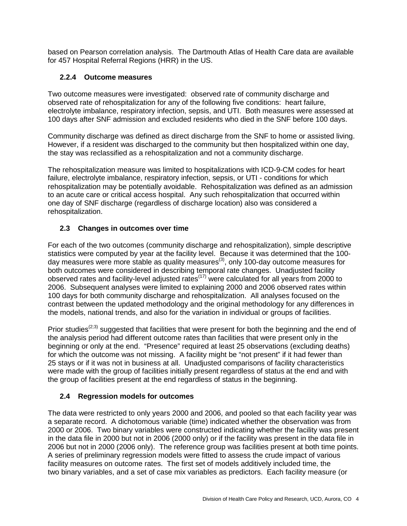based on Pearson correlation analysis. The Dartmouth Atlas of Health Care data are available for 457 Hospital Referral Regions (HRR) in the US.

# **2.2.4 Outcome measures**

Two outcome measures were investigated: observed rate of community discharge and observed rate of rehospitalization for any of the following five conditions: heart failure, electrolyte imbalance, respiratory infection, sepsis, and UTI. Both measures were assessed at 100 days after SNF admission and excluded residents who died in the SNF before 100 days.

Community discharge was defined as direct discharge from the SNF to home or assisted living. However, if a resident was discharged to the community but then hospitalized within one day, the stay was reclassified as a rehospitalization and not a community discharge.

The rehospitalization measure was limited to hospitalizations with ICD-9-CM codes for heart failure, electrolyte imbalance, respiratory infection, sepsis, or UTI - conditions for which rehospitalization may be potentially avoidable. Rehospitalization was defined as an admission to an acute care or critical access hospital. Any such rehospitalization that occurred within one day of SNF discharge (regardless of discharge location) also was considered a rehospitalization.

# **2.3 Changes in outcomes over time**

For each of the two outcomes (community discharge and rehospitalization), simple descriptive statistics were computed by year at the facility level. Because it was determined that the 100 day measures were more stable as quality measures<sup>(3)</sup>, only 100-day outcome measures for both outcomes were considered in describing temporal rate changes. Unadjusted facility observed rates and facility-level adjusted rates(17) were calculated for all years from 2000 to 2006. Subsequent analyses were limited to explaining 2000 and 2006 observed rates within 100 days for both community discharge and rehospitalization. All analyses focused on the contrast between the updated methodology and the original methodology for any differences in the models, national trends, and also for the variation in individual or groups of facilities.

Prior studies<sup>( $2,3$ )</sup> suggested that facilities that were present for both the beginning and the end of the analysis period had different outcome rates than facilities that were present only in the beginning or only at the end. "Presence" required at least 25 observations (excluding deaths) for which the outcome was not missing. A facility might be "not present" if it had fewer than 25 stays or if it was not in business at all. Unadjusted comparisons of facility characteristics were made with the group of facilities initially present regardless of status at the end and with the group of facilities present at the end regardless of status in the beginning.

### **2.4 Regression models for outcomes**

The data were restricted to only years 2000 and 2006, and pooled so that each facility year was a separate record. A dichotomous variable (time) indicated whether the observation was from 2000 or 2006. Two binary variables were constructed indicating whether the facility was present in the data file in 2000 but not in 2006 (2000 only) or if the facility was present in the data file in 2006 but not in 2000 (2006 only). The reference group was facilities present at both time points. A series of preliminary regression models were fitted to assess the crude impact of various facility measures on outcome rates. The first set of models additively included time, the two binary variables, and a set of case mix variables as predictors. Each facility measure (or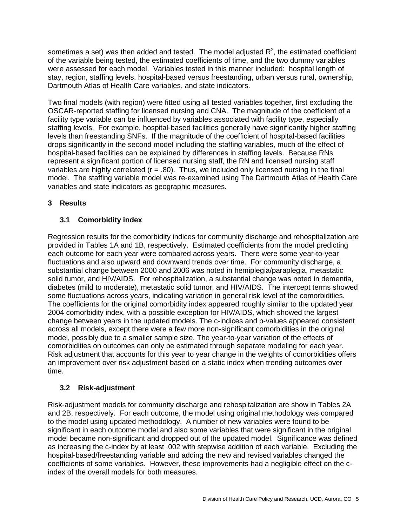sometimes a set) was then added and tested. The model adjusted  $R^2$ , the estimated coefficient of the variable being tested, the estimated coefficients of time, and the two dummy variables were assessed for each model. Variables tested in this manner included: hospital length of stay, region, staffing levels, hospital-based versus freestanding, urban versus rural, ownership, Dartmouth Atlas of Health Care variables, and state indicators.

Two final models (with region) were fitted using all tested variables together, first excluding the OSCAR-reported staffing for licensed nursing and CNA. The magnitude of the coefficient of a facility type variable can be influenced by variables associated with facility type, especially staffing levels. For example, hospital-based facilities generally have significantly higher staffing levels than freestanding SNFs. If the magnitude of the coefficient of hospital-based facilities drops significantly in the second model including the staffing variables, much of the effect of hospital-based facilities can be explained by differences in staffing levels. Because RNs represent a significant portion of licensed nursing staff, the RN and licensed nursing staff variables are highly correlated ( $r = .80$ ). Thus, we included only licensed nursing in the final model. The staffing variable model was re-examined using The Dartmouth Atlas of Health Care variables and state indicators as geographic measures.

# **3 Results**

# **3.1 Comorbidity index**

Regression results for the comorbidity indices for community discharge and rehospitalization are provided in Tables 1A and 1B, respectively. Estimated coefficients from the model predicting each outcome for each year were compared across years. There were some year-to-year fluctuations and also upward and downward trends over time. For community discharge, a substantial change between 2000 and 2006 was noted in hemiplegia/paraplegia, metastatic solid tumor, and HIV/AIDS. For rehospitalization, a substantial change was noted in dementia, diabetes (mild to moderate), metastatic solid tumor, and HIV/AIDS. The intercept terms showed some fluctuations across years, indicating variation in general risk level of the comorbidities. The coefficients for the original comorbidity index appeared roughly similar to the updated year 2004 comorbidity index, with a possible exception for HIV/AIDS, which showed the largest change between years in the updated models. The c-indices and p-values appeared consistent across all models, except there were a few more non-significant comorbidities in the original model, possibly due to a smaller sample size. The year-to-year variation of the effects of comorbidities on outcomes can only be estimated through separate modeling for each year. Risk adjustment that accounts for this year to year change in the weights of comorbidities offers an improvement over risk adjustment based on a static index when trending outcomes over time.

# **3.2 Risk-adjustment**

Risk-adjustment models for community discharge and rehospitalization are show in Tables 2A and 2B, respectively. For each outcome, the model using original methodology was compared to the model using updated methodology. A number of new variables were found to be significant in each outcome model and also some variables that were significant in the original model became non-significant and dropped out of the updated model. Significance was defined as increasing the c-index by at least .002 with stepwise addition of each variable. Excluding the hospital-based/freestanding variable and adding the new and revised variables changed the coefficients of some variables. However, these improvements had a negligible effect on the cindex of the overall models for both measures.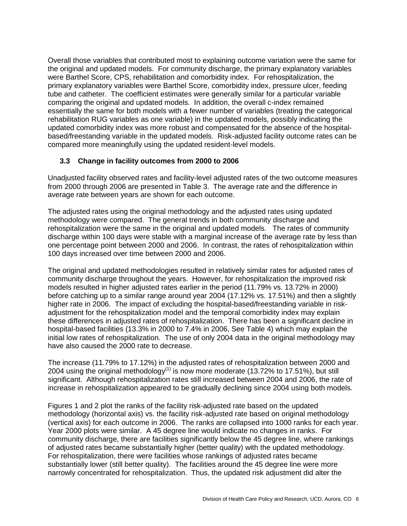Overall those variables that contributed most to explaining outcome variation were the same for the original and updated models. For community discharge, the primary explanatory variables were Barthel Score, CPS, rehabilitation and comorbidity index. For rehospitalization, the primary explanatory variables were Barthel Score, comorbidity index, pressure ulcer, feeding tube and catheter. The coefficient estimates were generally similar for a particular variable comparing the original and updated models. In addition, the overall c-index remained essentially the same for both models with a fewer number of variables (treating the categorical rehabilitation RUG variables as one variable) in the updated models, possibly indicating the updated comorbidity index was more robust and compensated for the absence of the hospitalbased/freestanding variable in the updated models. Risk-adjusted facility outcome rates can be compared more meaningfully using the updated resident-level models.

# **3.3 Change in facility outcomes from 2000 to 2006**

Unadjusted facility observed rates and facility-level adjusted rates of the two outcome measures from 2000 through 2006 are presented in Table 3. The average rate and the difference in average rate between years are shown for each outcome.

The adjusted rates using the original methodology and the adjusted rates using updated methodology were compared. The general trends in both community discharge and rehospitalization were the same in the original and updated models. The rates of community discharge within 100 days were stable with a marginal increase of the average rate by less than one percentage point between 2000 and 2006. In contrast, the rates of rehospitalization within 100 days increased over time between 2000 and 2006.

The original and updated methodologies resulted in relatively similar rates for adjusted rates of community discharge throughout the years. However, for rehospitalization the improved risk models resulted in higher adjusted rates earlier in the period (11.79% vs. 13.72% in 2000) before catching up to a similar range around year 2004 (17.12% vs. 17.51%) and then a slightly higher rate in 2006. The impact of excluding the hospital-based/freestanding variable in riskadjustment for the rehospitalization model and the temporal comorbidity index may explain these differences in adjusted rates of rehospitalization. There has been a significant decline in hospital-based facilities (13.3% in 2000 to 7.4% in 2006, See Table 4) which may explain the initial low rates of rehospitalization. The use of only 2004 data in the original methodology may have also caused the 2000 rate to decrease.

The increase (11.79% to 17.12%) in the adjusted rates of rehospitalization between 2000 and 2004 using the original methodology<sup>(1)</sup> is now more moderate (13.72% to 17.51%), but still significant. Although rehospitalization rates still increased between 2004 and 2006, the rate of increase in rehospitalization appeared to be gradually declining since 2004 using both models.

Figures 1 and 2 plot the ranks of the facility risk-adjusted rate based on the updated methodology (horizontal axis) vs. the facility risk-adjusted rate based on original methodology (vertical axis) for each outcome in 2006. The ranks are collapsed into 1000 ranks for each year. Year 2000 plots were similar. A 45 degree line would indicate no changes in ranks. For community discharge, there are facilities significantly below the 45 degree line, where rankings of adjusted rates became substantially higher (better quality) with the updated methodology. For rehospitalization, there were facilities whose rankings of adjusted rates became substantially lower (still better quality). The facilities around the 45 degree line were more narrowly concentrated for rehospitalization. Thus, the updated risk adjustment did alter the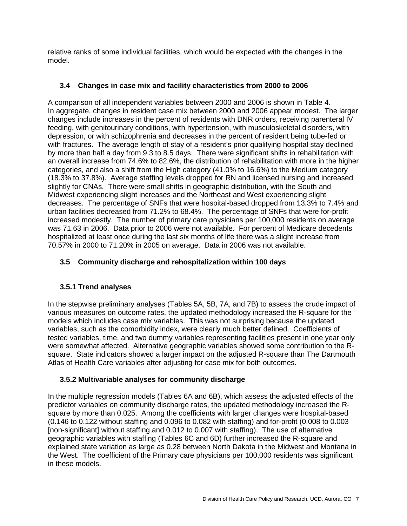relative ranks of some individual facilities, which would be expected with the changes in the model.

# **3.4 Changes in case mix and facility characteristics from 2000 to 2006**

A comparison of all independent variables between 2000 and 2006 is shown in Table 4. In aggregate, changes in resident case mix between 2000 and 2006 appear modest. The larger changes include increases in the percent of residents with DNR orders, receiving parenteral IV feeding, with genitourinary conditions, with hypertension, with musculoskeletal disorders, with depression, or with schizophrenia and decreases in the percent of resident being tube-fed or with fractures. The average length of stay of a resident's prior qualifying hospital stay declined by more than half a day from 9.3 to 8.5 days. There were significant shifts in rehabilitation with an overall increase from 74.6% to 82.6%, the distribution of rehabilitation with more in the higher categories, and also a shift from the High category (41.0% to 16.6%) to the Medium category (18.3% to 37.8%). Average staffing levels dropped for RN and licensed nursing and increased slightly for CNAs. There were small shifts in geographic distribution, with the South and Midwest experiencing slight increases and the Northeast and West experiencing slight decreases. The percentage of SNFs that were hospital-based dropped from 13.3% to 7.4% and urban facilities decreased from 71.2% to 68.4%. The percentage of SNFs that were for-profit increased modestly. The number of primary care physicians per 100,000 residents on average was 71.63 in 2006. Data prior to 2006 were not available. For percent of Medicare decedents hospitalized at least once during the last six months of life there was a slight increase from 70.57% in 2000 to 71.20% in 2005 on average. Data in 2006 was not available.

# **3.5 Community discharge and rehospitalization within 100 days**

# **3.5.1 Trend analyses**

In the stepwise preliminary analyses (Tables 5A, 5B, 7A, and 7B) to assess the crude impact of various measures on outcome rates, the updated methodology increased the R-square for the models which includes case mix variables. This was not surprising because the updated variables, such as the comorbidity index, were clearly much better defined. Coefficients of tested variables, time, and two dummy variables representing facilities present in one year only were somewhat affected. Alternative geographic variables showed some contribution to the Rsquare. State indicators showed a larger impact on the adjusted R-square than The Dartmouth Atlas of Health Care variables after adjusting for case mix for both outcomes.

# **3.5.2 Multivariable analyses for community discharge**

In the multiple regression models (Tables 6A and 6B), which assess the adjusted effects of the predictor variables on community discharge rates, the updated methodology increased the Rsquare by more than 0.025. Among the coefficients with larger changes were hospital-based (0.146 to 0.122 without staffing and 0.096 to 0.082 with staffing) and for-profit (0.008 to 0.003 [non-significant] without staffing and 0.012 to 0.007 with staffing). The use of alternative geographic variables with staffing (Tables 6C and 6D) further increased the R-square and explained state variation as large as 0.28 between North Dakota in the Midwest and Montana in the West. The coefficient of the Primary care physicians per 100,000 residents was significant in these models.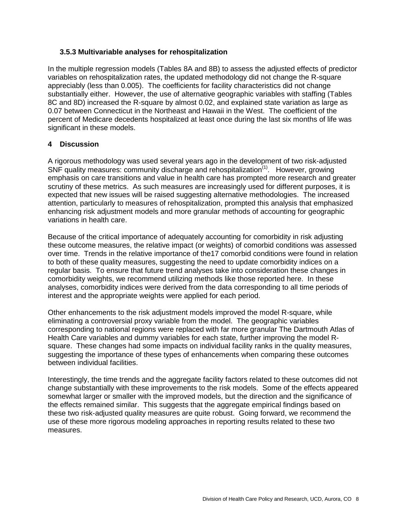#### **3.5.3 Multivariable analyses for rehospitalization**

In the multiple regression models (Tables 8A and 8B) to assess the adjusted effects of predictor variables on rehospitalization rates, the updated methodology did not change the R-square appreciably (less than 0.005). The coefficients for facility characteristics did not change substantially either. However, the use of alternative geographic variables with staffing (Tables 8C and 8D) increased the R-square by almost 0.02, and explained state variation as large as 0.07 between Connecticut in the Northeast and Hawaii in the West. The coefficient of the percent of Medicare decedents hospitalized at least once during the last six months of life was significant in these models.

#### **4 Discussion**

A rigorous methodology was used several years ago in the development of two risk-adjusted SNF quality measures: community discharge and rehospitalization<sup>(1)</sup>. However, growing emphasis on care transitions and value in health care has prompted more research and greater scrutiny of these metrics. As such measures are increasingly used for different purposes, it is expected that new issues will be raised suggesting alternative methodologies. The increased attention, particularly to measures of rehospitalization, prompted this analysis that emphasized enhancing risk adjustment models and more granular methods of accounting for geographic variations in health care.

Because of the critical importance of adequately accounting for comorbidity in risk adjusting these outcome measures, the relative impact (or weights) of comorbid conditions was assessed over time. Trends in the relative importance of the17 comorbid conditions were found in relation to both of these quality measures, suggesting the need to update comorbidity indices on a regular basis. To ensure that future trend analyses take into consideration these changes in comorbidity weights, we recommend utilizing methods like those reported here. In these analyses, comorbidity indices were derived from the data corresponding to all time periods of interest and the appropriate weights were applied for each period.

Other enhancements to the risk adjustment models improved the model R-square, while eliminating a controversial proxy variable from the model. The geographic variables corresponding to national regions were replaced with far more granular The Dartmouth Atlas of Health Care variables and dummy variables for each state, further improving the model Rsquare. These changes had some impacts on individual facility ranks in the quality measures, suggesting the importance of these types of enhancements when comparing these outcomes between individual facilities.

Interestingly, the time trends and the aggregate facility factors related to these outcomes did not change substantially with these improvements to the risk models. Some of the effects appeared somewhat larger or smaller with the improved models, but the direction and the significance of the effects remained similar. This suggests that the aggregate empirical findings based on these two risk-adjusted quality measures are quite robust. Going forward, we recommend the use of these more rigorous modeling approaches in reporting results related to these two measures.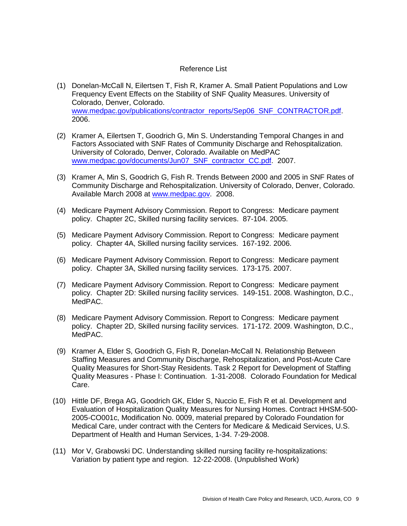#### Reference List

- (1) Donelan-McCall N, Eilertsen T, Fish R, Kramer A. Small Patient Populations and Low Frequency Event Effects on the Stability of SNF Quality Measures. University of Colorado, Denver, Colorado. [www.medpac.gov/publications/contractor\\_reports/Sep06\\_SNF\\_CONTRACTOR.pdf.](http://www.medpac.gov/publications/contractor_reports/Sep06_SNF_CONTRACTOR.pdf) 2006.
- (2) Kramer A, Eilertsen T, Goodrich G, Min S. Understanding Temporal Changes in and Factors Associated with SNF Rates of Community Discharge and Rehospitalization. University of Colorado, Denver, Colorado. Available on MedPAC [www.medpac.gov/documents/Jun07\\_SNF\\_contractor\\_CC.pdf.](http://www.medpac.gov/documents/Jun07_SNF_contractor_CC.pdf) 2007.
- (3) Kramer A, Min S, Goodrich G, Fish R. Trends Between 2000 and 2005 in SNF Rates of Community Discharge and Rehospitalization. University of Colorado, Denver, Colorado. Available March 2008 at [www.medpac.gov.](http://www.medpac.gov/) 2008.
- (4) Medicare Payment Advisory Commission. Report to Congress: Medicare payment policy. Chapter 2C, Skilled nursing facility services. 87-104. 2005.
- (5) Medicare Payment Advisory Commission. Report to Congress: Medicare payment policy. Chapter 4A, Skilled nursing facility services. 167-192. 2006.
- (6) Medicare Payment Advisory Commission. Report to Congress: Medicare payment policy. Chapter 3A, Skilled nursing facility services. 173-175. 2007.
- (7) Medicare Payment Advisory Commission. Report to Congress: Medicare payment policy. Chapter 2D: Skilled nursing facility services. 149-151. 2008. Washington, D.C., MedPAC.
- (8) Medicare Payment Advisory Commission. Report to Congress: Medicare payment policy. Chapter 2D, Skilled nursing facility services. 171-172. 2009. Washington, D.C., MedPAC.
- (9) Kramer A, Elder S, Goodrich G, Fish R, Donelan-McCall N. Relationship Between Staffing Measures and Community Discharge, Rehospitalization, and Post-Acute Care Quality Measures for Short-Stay Residents. Task 2 Report for Development of Staffing Quality Measures - Phase I: Continuation. 1-31-2008. Colorado Foundation for Medical Care.
- (10) Hittle DF, Brega AG, Goodrich GK, Elder S, Nuccio E, Fish R et al. Development and Evaluation of Hospitalization Quality Measures for Nursing Homes. Contract HHSM-500- 2005-CO001c, Modification No. 0009, material prepared by Colorado Foundation for Medical Care, under contract with the Centers for Medicare & Medicaid Services, U.S. Department of Health and Human Services, 1-34. 7-29-2008.
- (11) Mor V, Grabowski DC. Understanding skilled nursing facility re-hospitalizations: Variation by patient type and region. 12-22-2008. (Unpublished Work)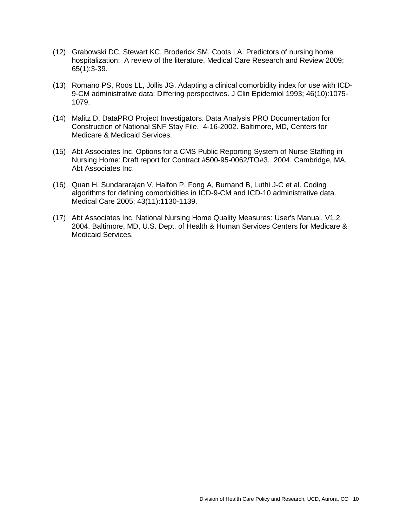- (12) Grabowski DC, Stewart KC, Broderick SM, Coots LA. Predictors of nursing home hospitalization: A review of the literature. Medical Care Research and Review 2009; 65(1):3-39.
- (13) Romano PS, Roos LL, Jollis JG. Adapting a clinical comorbidity index for use with ICD-9-CM administrative data: Differing perspectives. J Clin Epidemiol 1993; 46(10):1075- 1079.
- (14) Malitz D, DataPRO Project Investigators. Data Analysis PRO Documentation for Construction of National SNF Stay File. 4-16-2002. Baltimore, MD, Centers for Medicare & Medicaid Services.
- (15) Abt Associates Inc. Options for a CMS Public Reporting System of Nurse Staffing in Nursing Home: Draft report for Contract #500-95-0062/TO#3. 2004. Cambridge, MA, Abt Associates Inc.
- (16) Quan H, Sundararajan V, Halfon P, Fong A, Burnand B, Luthi J-C et al. Coding algorithms for defining comorbidities in ICD-9-CM and ICD-10 administrative data. Medical Care 2005; 43(11):1130-1139.
- (17) Abt Associates Inc. National Nursing Home Quality Measures: User's Manual. V1.2. 2004. Baltimore, MD, U.S. Dept. of Health & Human Services Centers for Medicare & Medicaid Services.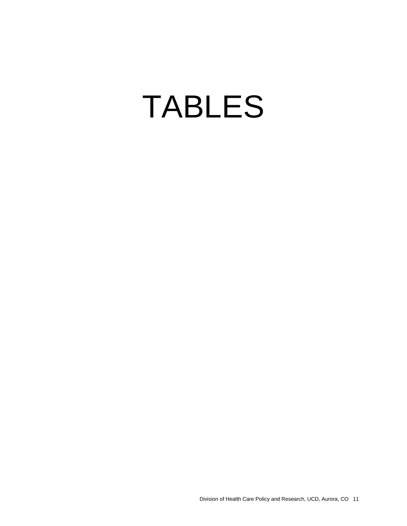# TABLES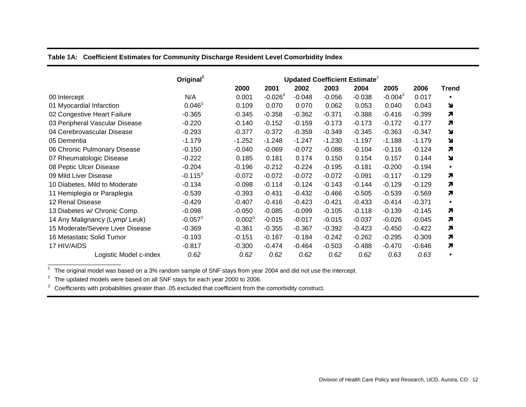#### **Table 1A: Coefficient Estimates for Community Discharge Resident Level Comorbidity Index**

|                                  | Original <sup>1</sup> | Updated Coefficient Estimate <sup>2</sup> |           |          |          |          |            |          |              |
|----------------------------------|-----------------------|-------------------------------------------|-----------|----------|----------|----------|------------|----------|--------------|
|                                  |                       | 2000                                      | 2001      | 2002     | 2003     | 2004     | 2005       | 2006     | <b>Trend</b> |
| 00 Intercept                     | N/A                   | 0.001                                     | $-0.0263$ | $-0.048$ | $-0.056$ | $-0.038$ | $-0.004^3$ | 0.017    | $\bullet$    |
| 01 Myocardial Infarction         | $0.046^3$             | 0.109                                     | 0.070     | 0.070    | 0.062    | 0.053    | 0.040      | 0.043    | N            |
| 02 Congestive Heart Failure      | $-0.365$              | $-0.345$                                  | $-0.358$  | $-0.362$ | $-0.371$ | $-0.388$ | $-0.416$   | $-0.399$ | 7            |
| 03 Peripheral Vascular Disease   | $-0.220$              | $-0.140$                                  | $-0.152$  | $-0.159$ | $-0.173$ | $-0.173$ | $-0.172$   | $-0.177$ | 7            |
| 04 Cerebrovascular Disease       | $-0.293$              | $-0.377$                                  | $-0.372$  | $-0.359$ | $-0.349$ | $-0.345$ | $-0.363$   | $-0.347$ | N            |
| 05 Dementia                      | $-1.179$              | $-1.252$                                  | $-1.248$  | $-1.247$ | $-1.230$ | $-1.197$ | $-1.188$   | $-1.179$ | N            |
| 06 Chronic Pulmonary Disease     | $-0.150$              | $-0.040$                                  | $-0.069$  | $-0.072$ | $-0.088$ | $-0.104$ | $-0.116$   | $-0.124$ | 7            |
| 07 Rheumatologic Disease         | $-0.222$              | 0.185                                     | 0.181     | 0.174    | 0.150    | 0.154    | 0.157      | 0.144    | N            |
| 08 Peptic Ulcer Disease          | $-0.204$              | $-0.196$                                  | $-0.212$  | $-0.224$ | $-0.195$ | $-0.181$ | $-0.200$   | $-0.194$ | $\bullet$    |
| 09 Mild Liver Disease            | $-0.115^3$            | $-0.072$                                  | $-0.072$  | $-0.072$ | $-0.072$ | $-0.091$ | $-0.117$   | $-0.129$ | 7            |
| 10 Diabetes, Mild to Moderate    | $-0.134$              | $-0.098$                                  | $-0.114$  | $-0.124$ | $-0.143$ | $-0.144$ | $-0.129$   | $-0.129$ | 7            |
| 11 Hemiplegia or Paraplegia      | $-0.539$              | $-0.393$                                  | $-0.431$  | $-0.432$ | $-0.466$ | $-0.505$ | $-0.539$   | $-0.569$ | 7            |
| 12 Renal Disease                 | $-0.429$              | $-0.407$                                  | $-0.416$  | $-0.423$ | $-0.421$ | $-0.433$ | $-0.414$   | $-0.371$ | $\bullet$    |
| 13 Diabetes w/ Chronic Comp.     | $-0.098$              | $-0.050$                                  | $-0.085$  | $-0.099$ | $-0.105$ | $-0.118$ | $-0.139$   | $-0.145$ | 7            |
| 14 Any Malignancy (Lymp/ Leuk)   | $-0.057^3$            | 0.002 <sup>3</sup>                        | $-0.015$  | $-0.017$ | $-0.015$ | $-0.037$ | $-0.026$   | $-0.045$ | 7            |
| 15 Moderate/Severe Liver Disease | $-0.369$              | $-0.361$                                  | $-0.355$  | $-0.367$ | $-0.392$ | $-0.423$ | $-0.450$   | $-0.422$ | 7            |
| 16 Metastatic Solid Tumor        | $-0.193$              | $-0.151$                                  | $-0.167$  | $-0.184$ | $-0.242$ | $-0.262$ | $-0.295$   | $-0.309$ | 7            |
| 17 HIV/AIDS                      | $-0.817$              | $-0.300$                                  | -0.474    | $-0.464$ | $-0.503$ | $-0.488$ | $-0.470$   | $-0.646$ | 7            |
| Logistic Model c-index           | 0.62                  | 0.62                                      | 0.62      | 0.62     | 0.62     | 0.62     | 0.63       | 0.63     | $\bullet$    |

 $1$  The original model was based on a 3% random sample of SNF stays from year 2004 and did not use the intercept.

<sup>2</sup> The updated models were based on all SNF stays for each year 2000 to 2006.

\_\_\_\_\_\_\_\_\_\_\_\_\_\_\_\_\_\_\_\_\_\_

<sup>3</sup> Coefficients with probabilities greater than .05 excluded that coefficient from the comorbidity construct.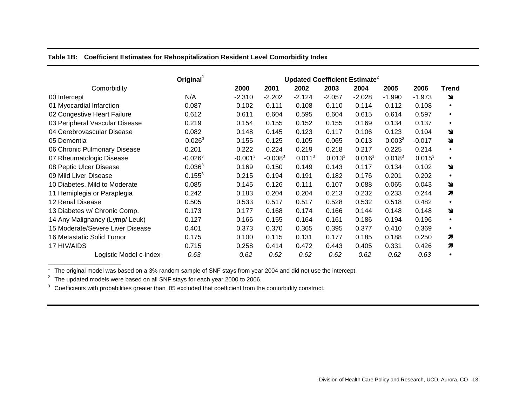**Table 1B: Coefficient Estimates for Rehospitalization Resident Level Comorbidity Index**

|                                  | Original <sup>1</sup> | Updated Coefficient Estimate <sup>2</sup> |           |                    |             |                    |                    |           |              |
|----------------------------------|-----------------------|-------------------------------------------|-----------|--------------------|-------------|--------------------|--------------------|-----------|--------------|
| Comorbidity                      |                       | 2000                                      | 2001      | 2002               | 2003        | 2004               | 2005               | 2006      | <b>Trend</b> |
| 00 Intercept                     | N/A                   | $-2.310$                                  | $-2.202$  | $-2.124$           | $-2.057$    | $-2.028$           | $-1.990$           | $-1.973$  | N            |
| 01 Myocardial Infarction         | 0.087                 | 0.102                                     | 0.111     | 0.108              | 0.110       | 0.114              | 0.112              | 0.108     |              |
| 02 Congestive Heart Failure      | 0.612                 | 0.611                                     | 0.604     | 0.595              | 0.604       | 0.615              | 0.614              | 0.597     | ٠            |
| 03 Peripheral Vascular Disease   | 0.219                 | 0.154                                     | 0.155     | 0.152              | 0.155       | 0.169              | 0.134              | 0.137     | ٠            |
| 04 Cerebrovascular Disease       | 0.082                 | 0.148                                     | 0.145     | 0.123              | 0.117       | 0.106              | 0.123              | 0.104     | Y            |
| 05 Dementia                      | $0.026^3$             | 0.155                                     | 0.125     | 0.105              | 0.065       | 0.013              | 0.003 <sup>3</sup> | $-0.017$  | Y            |
| 06 Chronic Pulmonary Disease     | 0.201                 | 0.222                                     | 0.224     | 0.219              | 0.218       | 0.217              | 0.225              | 0.214     | $\bullet$    |
| 07 Rheumatologic Disease         | $-0.026^3$            | $-0.0013$                                 | $-0.0083$ | 0.011 <sup>3</sup> | $0.013^{3}$ | 0.016 <sup>3</sup> | $0.018^{3}$        | $0.015^3$ | $\bullet$    |
| 08 Peptic Ulcer Disease          | 0.036 <sup>3</sup>    | 0.169                                     | 0.150     | 0.149              | 0.143       | 0.117              | 0.134              | 0.102     | N            |
| 09 Mild Liver Disease            | $0.155^{3}$           | 0.215                                     | 0.194     | 0.191              | 0.182       | 0.176              | 0.201              | 0.202     |              |
| 10 Diabetes, Mild to Moderate    | 0.085                 | 0.145                                     | 0.126     | 0.111              | 0.107       | 0.088              | 0.065              | 0.043     | N            |
| 11 Hemiplegia or Paraplegia      | 0.242                 | 0.183                                     | 0.204     | 0.204              | 0.213       | 0.232              | 0.233              | 0.244     | 7            |
| 12 Renal Disease                 | 0.505                 | 0.533                                     | 0.517     | 0.517              | 0.528       | 0.532              | 0.518              | 0.482     | ٠            |
| 13 Diabetes w/ Chronic Comp.     | 0.173                 | 0.177                                     | 0.168     | 0.174              | 0.166       | 0.144              | 0.148              | 0.148     | N            |
| 14 Any Malignancy (Lymp/ Leuk)   | 0.127                 | 0.166                                     | 0.155     | 0.164              | 0.161       | 0.186              | 0.194              | 0.196     |              |
| 15 Moderate/Severe Liver Disease | 0.401                 | 0.373                                     | 0.370     | 0.365              | 0.395       | 0.377              | 0.410              | 0.369     | ٠            |
| 16 Metastatic Solid Tumor        | 0.175                 | 0.100                                     | 0.115     | 0.131              | 0.177       | 0.185              | 0.188              | 0.250     | 7            |
| 17 HIV/AIDS                      | 0.715                 | 0.258                                     | 0.414     | 0.472              | 0.443       | 0.405              | 0.331              | 0.426     | 7            |
| Logistic Model c-index           | 0.63                  | 0.62                                      | 0.62      | 0.62               | 0.62        | 0.62               | 0.62               | 0.63      |              |

 $1$  The original model was based on a 3% random sample of SNF stays from year 2004 and did not use the intercept.

<sup>2</sup> The updated models were based on all SNF stays for each year 2000 to 2006.

\_\_\_\_\_\_\_\_\_\_\_\_\_\_\_\_\_\_\_\_\_\_

<sup>3</sup> Coefficients with probabilities greater than .05 excluded that coefficient from the comorbidity construct.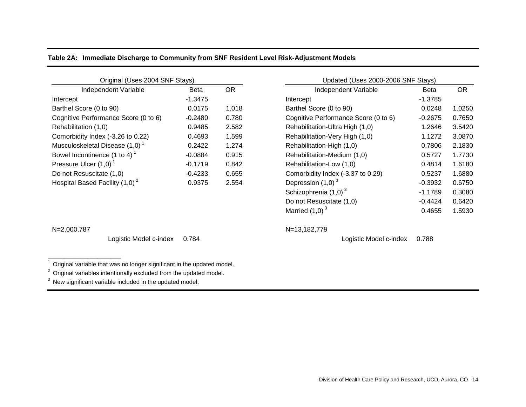|  |  |  | Table 2A: Immediate Discharge to Community from SNF Resident Level Risk-Adjustment Models |  |
|--|--|--|-------------------------------------------------------------------------------------------|--|
|--|--|--|-------------------------------------------------------------------------------------------|--|

| Original (Uses 2004 SNF Stays)           |             |           | Updated (Uses 2000-2006 SNF Stays)   |             |           |  |  |
|------------------------------------------|-------------|-----------|--------------------------------------|-------------|-----------|--|--|
| Independent Variable                     | <b>Beta</b> | <b>OR</b> | Independent Variable                 | <b>Beta</b> | <b>OR</b> |  |  |
| Intercept                                | $-1.3475$   |           | Intercept                            | $-1.3785$   |           |  |  |
| Barthel Score (0 to 90)                  | 0.0175      | 1.018     | Barthel Score (0 to 90)              | 0.0248      | 1.0250    |  |  |
| Cognitive Performance Score (0 to 6)     | $-0.2480$   | 0.780     | Cognitive Performance Score (0 to 6) | $-0.2675$   | 0.7650    |  |  |
| Rehabilitation (1,0)                     | 0.9485      | 2.582     | Rehabilitation-Ultra High (1,0)      | 1.2646      | 3.5420    |  |  |
| Comorbidity Index (-3.26 to 0.22)        | 0.4693      | 1.599     | Rehabilitation-Very High (1,0)       | 1.1272      | 3.0870    |  |  |
| Musculoskeletal Disease (1,0)            | 0.2422      | 1.274     | Rehabilitation-High (1,0)            | 0.7806      | 2.1830    |  |  |
| Bowel Incontinence (1 to 4) <sup>1</sup> | $-0.0884$   | 0.915     | Rehabilitation-Medium (1,0)          | 0.5727      | 1.7730    |  |  |
| Pressure Ulcer (1,0)                     | $-0.1719$   | 0.842     | Rehabilitation-Low (1,0)             | 0.4814      | 1.6180    |  |  |
| Do not Resuscitate (1,0)                 | $-0.4233$   | 0.655     | Comorbidity Index (-3.37 to 0.29)    | 0.5237      | 1.6880    |  |  |
| Hospital Based Facility $(1,0)^2$        | 0.9375      | 2.554     | Depression $(1,0)^3$                 | $-0.3932$   | 0.6750    |  |  |

\_\_\_\_\_\_\_\_\_\_\_\_\_\_\_\_\_\_\_\_\_\_

Logistic Model c-index 0.784 Logistic Model c-index 0.788

 $1$  Original variable that was no longer significant in the updated model.

<sup>2</sup> Original variables intentionally excluded from the updated model.

<sup>3</sup> New significant variable included in the updated model.

| Original (Uses 2004 SNF Stays)                                  |           |       | Updated (Uses 2000-2006 SNF Stays)   |             |           |  |  |  |
|-----------------------------------------------------------------|-----------|-------|--------------------------------------|-------------|-----------|--|--|--|
| <b>Independent Variable</b>                                     | Beta      | OR.   | Independent Variable                 | <b>Beta</b> | <b>OR</b> |  |  |  |
|                                                                 | $-1.3475$ |       | Intercept                            | $-1.3785$   |           |  |  |  |
| core (0 to 90)                                                  | 0.0175    | 1.018 | Barthel Score (0 to 90)              | 0.0248      | 1.0250    |  |  |  |
| Performance Score (0 to 6)                                      | $-0.2480$ | 0.780 | Cognitive Performance Score (0 to 6) | $-0.2675$   | 0.7650    |  |  |  |
| tion (1,0)                                                      | 0.9485    | 2.582 | Rehabilitation-Ultra High (1,0)      | 1.2646      | 3.5420    |  |  |  |
| ity Index (-3.26 to 0.22)                                       | 0.4693    | 1.599 | Rehabilitation-Very High (1,0)       | 1.1272      | 3.0870    |  |  |  |
| $\epsilon$ eletal Disease (1,0) $^{\textrm{\tiny{\textsf{1}}}}$ | 0.2422    | 1.274 | Rehabilitation-High (1,0)            | 0.7806      | 2.1830    |  |  |  |
| ontinence (1 to 4) $^1$                                         | $-0.0884$ | 0.915 | Rehabilitation-Medium (1,0)          | 0.5727      | 1.7730    |  |  |  |
| Ulcer (1,0) $^\text{\tiny{\text{\tiny{1}}}}$                    | $-0.1719$ | 0.842 | Rehabilitation-Low (1,0)             | 0.4814      | 1.6180    |  |  |  |
| suscitate (1,0)                                                 | $-0.4233$ | 0.655 | Comorbidity Index (-3.37 to 0.29)    | 0.5237      | 1.6880    |  |  |  |
| ased Facility $(1,0)^2$                                         | 0.9375    | 2.554 | Depression $(1,0)$ <sup>3</sup>      | $-0.3932$   | 0.6750    |  |  |  |
|                                                                 |           |       | Schizophrenia $(1,0)^3$              | $-1.1789$   | 0.3080    |  |  |  |
|                                                                 |           |       | Do not Resuscitate (1,0)             | $-0.4424$   | 0.6420    |  |  |  |
|                                                                 |           |       | Married $(1,0)$ <sup>3</sup>         | 0.4655      | 1.5930    |  |  |  |

N=2,000,787 N=13,182,779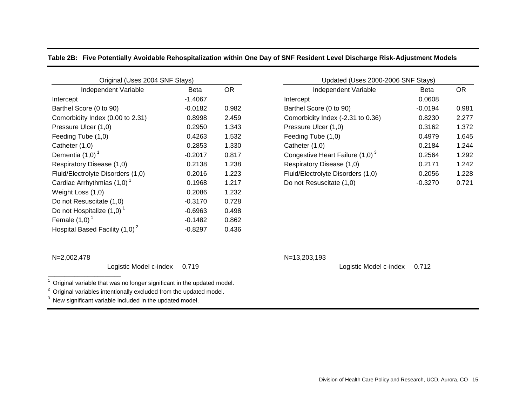|  |  | Table 2B: Five Potentially Avoidable Rehospitalization within One Day of SNF Resident Level Discharge Risk-Adjustment Models |  |  |  |  |
|--|--|------------------------------------------------------------------------------------------------------------------------------|--|--|--|--|
|--|--|------------------------------------------------------------------------------------------------------------------------------|--|--|--|--|

| Original (Uses 2004 SNF Stays)           |             |           | Updated (Uses 2000-2006 SNF Stays) |           |           |  |  |  |
|------------------------------------------|-------------|-----------|------------------------------------|-----------|-----------|--|--|--|
| Independent Variable                     | <b>Beta</b> | <b>OR</b> | Independent Variable               | Beta      | <b>OR</b> |  |  |  |
| Intercept                                | $-1.4067$   |           | Intercept                          | 0.0608    |           |  |  |  |
| Barthel Score (0 to 90)                  | $-0.0182$   | 0.982     | Barthel Score (0 to 90)            | $-0.0194$ | 0.981     |  |  |  |
| Comorbidity Index (0.00 to 2.31)         | 0.8998      | 2.459     | Comorbidity Index (-2.31 to 0.36)  | 0.8230    | 2.277     |  |  |  |
| Pressure Ulcer (1,0)                     | 0.2950      | 1.343     | Pressure Ulcer (1,0)               | 0.3162    | 1.372     |  |  |  |
| Feeding Tube (1,0)                       | 0.4263      | 1.532     | Feeding Tube (1,0)                 | 0.4979    | 1.645     |  |  |  |
| Catheter (1,0)                           | 0.2853      | 1.330     | Catheter $(1,0)$                   | 0.2184    | 1.244     |  |  |  |
| Dementia $(1,0)$ <sup>1</sup>            | $-0.2017$   | 0.817     | Congestive Heart Failure $(1,0)^3$ | 0.2564    | 1.292     |  |  |  |
| Respiratory Disease (1,0)                | 0.2138      | 1.238     | Respiratory Disease (1,0)          | 0.2171    | 1.242     |  |  |  |
| Fluid/Electrolyte Disorders (1,0)        | 0.2016      | 1.223     | Fluid/Electrolyte Disorders (1,0)  | 0.2056    | 1.228     |  |  |  |
| Cardiac Arrhythmias $(1,0)$ <sup>1</sup> | 0.1968      | 1.217     | Do not Resuscitate (1,0)           | $-0.3270$ | 0.721     |  |  |  |
| Weight Loss (1,0)                        | 0.2086      | 1.232     |                                    |           |           |  |  |  |
| Do not Resuscitate (1,0)                 | $-0.3170$   | 0.728     |                                    |           |           |  |  |  |
| Do not Hospitalize $(1,0)$ <sup>1</sup>  | $-0.6963$   | 0.498     |                                    |           |           |  |  |  |
| Female $(1,0)$                           | $-0.1482$   | 0.862     |                                    |           |           |  |  |  |
| Hospital Based Facility $(1,0)^2$        | $-0.8297$   | 0.436     |                                    |           |           |  |  |  |

| Original (Uses 2004 SNF Stays)      |           |       | Updated (Uses 2000-2006 SNF Stays) |             |           |  |  |  |
|-------------------------------------|-----------|-------|------------------------------------|-------------|-----------|--|--|--|
| Independent Variable<br><b>Beta</b> |           | OR.   | Independent Variable               | <b>Beta</b> | <b>OR</b> |  |  |  |
|                                     | $-1.4067$ |       | Intercept                          | 0.0608      |           |  |  |  |
| core (0 to 90)                      | $-0.0182$ | 0.982 | Barthel Score (0 to 90)            | $-0.0194$   | 0.981     |  |  |  |
| ity Index (0.00 to 2.31)            | 0.8998    | 2.459 | Comorbidity Index (-2.31 to 0.36)  | 0.8230      | 2.277     |  |  |  |
| Ulcer (1,0)                         | 0.2950    | 1.343 | Pressure Ulcer (1,0)               | 0.3162      | 1.372     |  |  |  |
| ube (1,0)                           | 0.4263    | 1.532 | Feeding Tube (1,0)                 | 0.4979      | 1.645     |  |  |  |
| (1,0)                               | 0.2853    | 1.330 | Catheter (1,0)                     | 0.2184      | 1.244     |  |  |  |
| (1,0)                               | $-0.2017$ | 0.817 | Congestive Heart Failure $(1,0)^3$ | 0.2564      | 1.292     |  |  |  |
| ry Disease (1,0)                    | 0.2138    | 1.238 | Respiratory Disease (1,0)          | 0.2171      | 1.242     |  |  |  |
| trolyte Disorders (1,0)             | 0.2016    | 1.223 | Fluid/Electrolyte Disorders (1,0)  | 0.2056      | 1.228     |  |  |  |
| rrhythmias $(1,0)$ <sup>1</sup>     | 0.1968    | 1.217 | Do not Resuscitate (1,0)           | $-0.3270$   | 0.721     |  |  |  |
|                                     |           |       |                                    |             |           |  |  |  |

N=2,002,478 N=13,203,193

\_\_\_\_\_\_\_\_\_\_\_\_\_\_\_\_\_\_\_\_\_\_

Logistic Model c-index 0.719 Logistic Model c-index 0.712

 $1$  Original variable that was no longer significant in the updated model.

<sup>2</sup> Original variables intentionally excluded from the updated model.

<sup>3</sup> New significant variable included in the updated model.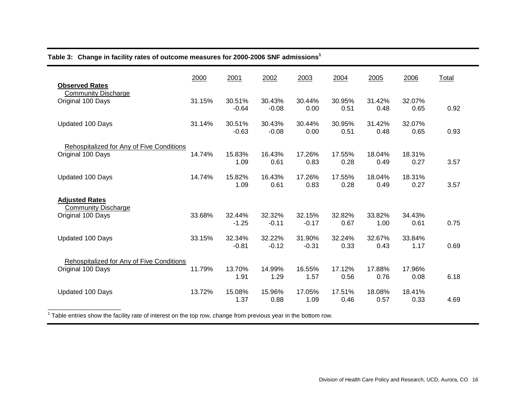**Table 3: Change in facility rates of outcome measures for 2000-2006 SNF admissions<sup>1</sup>**

| <b>Observed Rates</b>                                          | 2000   | 2001              | 2002              | 2003              | 2004           | 2005           | 2006           | Total |
|----------------------------------------------------------------|--------|-------------------|-------------------|-------------------|----------------|----------------|----------------|-------|
| <b>Community Discharge</b><br>Original 100 Days                | 31.15% | 30.51%<br>$-0.64$ | 30.43%<br>$-0.08$ | 30.44%<br>0.00    | 30.95%<br>0.51 | 31.42%<br>0.48 | 32.07%<br>0.65 | 0.92  |
| Updated 100 Days                                               | 31.14% | 30.51%<br>$-0.63$ | 30.43%<br>$-0.08$ | 30.44%<br>0.00    | 30.95%<br>0.51 | 31.42%<br>0.48 | 32.07%<br>0.65 | 0.93  |
| Rehospitalized for Any of Five Conditions<br>Original 100 Days | 14.74% | 15.83%<br>1.09    | 16.43%<br>0.61    | 17.26%<br>0.83    | 17.55%<br>0.28 | 18.04%<br>0.49 | 18.31%<br>0.27 | 3.57  |
| Updated 100 Days                                               | 14.74% | 15.82%<br>1.09    | 16.43%<br>0.61    | 17.26%<br>0.83    | 17.55%<br>0.28 | 18.04%<br>0.49 | 18.31%<br>0.27 | 3.57  |
| <b>Adjusted Rates</b>                                          |        |                   |                   |                   |                |                |                |       |
| <b>Community Discharge</b><br>Original 100 Days                | 33.68% | 32.44%<br>$-1.25$ | 32.32%<br>$-0.11$ | 32.15%<br>$-0.17$ | 32.82%<br>0.67 | 33.82%<br>1.00 | 34.43%<br>0.61 | 0.75  |
| Updated 100 Days                                               | 33.15% | 32.34%<br>$-0.81$ | 32.22%<br>$-0.12$ | 31.90%<br>$-0.31$ | 32.24%<br>0.33 | 32.67%<br>0.43 | 33.84%<br>1.17 | 0.69  |
| Rehospitalized for Any of Five Conditions<br>Original 100 Days | 11.79% | 13.70%<br>1.91    | 14.99%<br>1.29    | 16.55%<br>1.57    | 17.12%<br>0.56 | 17.88%<br>0.76 | 17.96%<br>0.08 | 6.18  |
| Updated 100 Days                                               | 13.72% | 15.08%<br>1.37    | 15.96%<br>0.88    | 17.05%<br>1.09    | 17.51%<br>0.46 | 18.08%<br>0.57 | 18.41%<br>0.33 | 4.69  |
|                                                                |        |                   |                   |                   |                |                |                |       |

 $1$  Table entries show the facility rate of interest on the top row, change from previous year in the bottom row.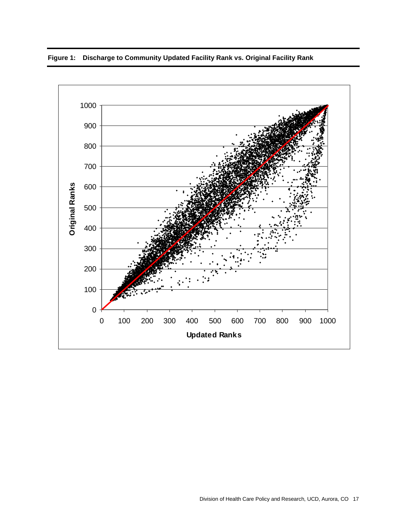

**Figure 1: Discharge to Community Updated Facility Rank vs. Original Facility Rank**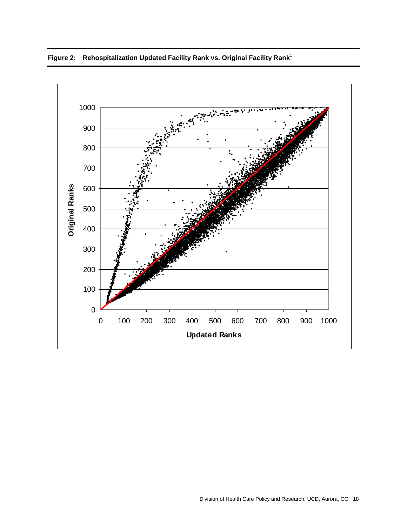

# **Figure 2: Rehospitalization Updated Facility Rank vs. Original Facility Rank**<sup>1</sup>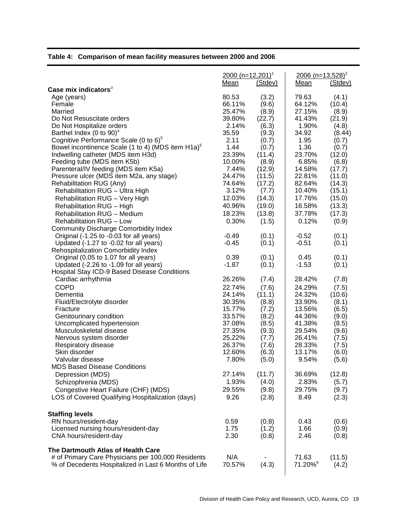# **Table 4: Comparison of mean facility measures between 2000 and 2006**

|                                                               | 2000 (n=12,201) <sup>1</sup><br>Mean | (Stdev) | $2006$ (n=13,528) <sup>2</sup><br>Mean | (Stdev) |
|---------------------------------------------------------------|--------------------------------------|---------|----------------------------------------|---------|
| Case mix indicators <sup>3</sup>                              |                                      |         |                                        |         |
| Age (years)                                                   | 80.53                                | (3.2)   | 79.63                                  | (4.1)   |
| Female                                                        | 66.11%                               | (9.6)   | 64.12%                                 | (10.4)  |
| Married                                                       | 25.47%                               | (8.9)   | 27.15%                                 | (8.9)   |
| Do Not Resuscitate orders                                     | 39.80%                               | (22.7)  | 41.43%                                 | (21.9)  |
| Do Not Hospitalize orders                                     | 2.14%                                | (6.3)   | 1.90%                                  | (4.8)   |
| Barthel Index (0 to 90) <sup>4</sup>                          | 35.59                                | (9.3)   | 34.92                                  | (8.44)  |
| Cognitive Performance Scale (0 to 6) <sup>5</sup>             | 2.11                                 | (0.7)   | 1.95                                   | (0.7)   |
| Bowel incontinence Scale (1 to 4) (MDS item H1a) <sup>5</sup> | 1.44                                 | (0.7)   | 1.36                                   | (0.7)   |
| Indwelling catheter (MDS item H3d)                            | 23.39%                               | (11.4)  | 23.70%                                 | (12.0)  |
| Feeding tube (MDS item K5b)                                   | 10.00%                               | (8.9)   | 6.85%                                  | (6.8)   |
| Parenteral/IV feeding (MDS item K5a)                          | 7.44%                                | (12.9)  | 14.58%                                 | (17.7)  |
| Pressure ulcer (MDS item M2a, any stage)                      | 24.47%                               | (11.5)  | 22.81%                                 | (11.0)  |
| Rehabilitation RUG (Any)                                      | 74.64%                               | (17.2)  | 82.64%                                 | (14.3)  |
| Rehabilitation RUG - Ultra High                               | 3.12%                                | (7.7)   | 10.40%                                 | (15.1)  |
|                                                               | 12.03%                               |         |                                        |         |
| Rehabilitation RUG - Very High                                |                                      | (14.3)  | 17.76%                                 | (15.0)  |
| Rehabilitation RUG - High                                     | 40.96%                               | (19.0)  | 16.58%                                 | (13.3)  |
| <b>Rehabilitation RUG - Medium</b>                            | 18.23%                               | (13.8)  | 37.78%                                 | (17.3)  |
| Rehabilitation RUG - Low                                      | 0.30%                                | (1.5)   | 0.12%                                  | (0.9)   |
| <b>Community Discharge Comorbidity Index</b>                  |                                      |         |                                        |         |
| Original (-1.25 to -0.03 for all years)                       | $-0.49$                              | (0.1)   | $-0.52$                                | (0.1)   |
| Updated (-1.27 to -0.02 for all years)                        | $-0.45$                              | (0.1)   | $-0.51$                                | (0.1)   |
| Rehospitalization Comorbidity Index                           |                                      |         |                                        |         |
| Original (0.05 to 1.07 for all years)                         | 0.39                                 | (0.1)   | 0.45                                   | (0.1)   |
| Updated (-2.26 to -1.09 for all years)                        | $-1.87$                              | (0.1)   | $-1.53$                                | (0.1)   |
| Hospital Stay ICD-9 Based Disease Conditions                  |                                      |         |                                        |         |
| Cardiac arrhythmia                                            | 26.26%                               | (7.4)   | 28.42%                                 | (7.8)   |
| <b>COPD</b>                                                   | 22.74%                               | (7.6)   | 24.29%                                 | (7.5)   |
| Dementia                                                      | 24.14%                               | (11.1)  | 24.32%                                 | (10.6)  |
| Fluid/Electrolyte disorder                                    | 30.35%                               | (8.8)   | 33.90%                                 | (8.1)   |
| Fracture                                                      | 15.77%                               | (7.2)   | 13.56%                                 | (6.5)   |
| Genitourinary condition                                       | 33.57%                               | (8.2)   | 44.36%                                 | (9.0)   |
| Uncomplicated hypertension                                    | 37.08%                               | (8.5)   | 41.38%                                 | (8.5)   |
| Musculoskeletal disease                                       | 27.35%                               | (9.3)   | 29.54%                                 | (9.6)   |
| Nervous system disorder                                       | 25.22%                               | (7.7)   | 26.41%                                 | (7.5)   |
| Respiratory disease                                           | 26.37%                               | (7.6)   | 28.33%                                 | (7.5)   |
| Skin disorder                                                 | 12.60%                               | (6.3)   | 13.17%                                 | (6.0)   |
| Valvular disease                                              | 7.80%                                | (5.0)   | 9.54%                                  | (5.6)   |
| <b>MDS Based Disease Conditions</b>                           |                                      |         |                                        |         |
|                                                               | 27.14%                               |         |                                        |         |
| Depression (MDS)                                              |                                      | (11.7)  | 36.69%                                 | (12.8)  |
| Schizophrenia (MDS)                                           | 1.93%                                | (4.0)   | 2.83%                                  | (5.7)   |
| Congestive Heart Failure (CHF) (MDS)                          | 29.55%                               | (9.8)   | 29.75%                                 | (9.7)   |
| LOS of Covered Qualifying Hospitalization (days)              | 9.26                                 | (2.8)   | 8.49                                   | (2.3)   |
| <b>Staffing levels</b>                                        |                                      |         |                                        |         |
| RN hours/resident-day                                         | 0.59                                 | (0.8)   | 0.43                                   | (0.6)   |
| Licensed nursing hours/resident-day                           | 1.75                                 | (1.2)   | 1.66                                   | (0.9)   |
| CNA hours/resident-day                                        | 2.30                                 | (0.8)   | 2.46                                   | (0.8)   |
| The Dartmouth Atlas of Health Care                            |                                      |         |                                        |         |
| # of Primary Care Physicians per 100,000 Residents            | N/A                                  |         | 71.63                                  | (11.5)  |
| % of Decedents Hospitalized in Last 6 Months of Life          | 70.57%                               | (4.3)   | 71.20% <sup>6</sup>                    | (4.2)   |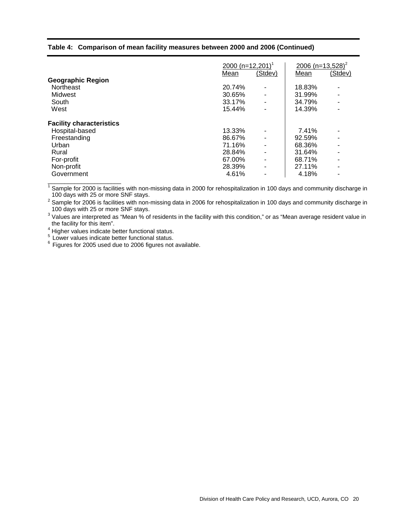#### **Table 4: Comparison of mean facility measures between 2000 and 2006 (Continued)**

|                                 |        | 2000 (n=12,201) <sup>1</sup> |        |         |
|---------------------------------|--------|------------------------------|--------|---------|
|                                 | Mean   | (Stdev)                      | Mean   | (Stdev) |
| <b>Geographic Region</b>        |        |                              |        |         |
| <b>Northeast</b>                | 20.74% |                              | 18.83% |         |
| Midwest                         | 30.65% | $\overline{\phantom{a}}$     | 31.99% |         |
| South                           | 33.17% |                              | 34.79% |         |
| West                            | 15.44% |                              | 14.39% |         |
| <b>Facility characteristics</b> |        |                              |        |         |
| Hospital-based                  | 13.33% |                              | 7.41%  |         |
| Freestanding                    | 86.67% | $\blacksquare$               | 92.59% |         |
| Urban                           | 71.16% | $\blacksquare$               | 68.36% |         |
| Rural                           | 28.84% |                              | 31.64% |         |
| For-profit                      | 67.00% | $\blacksquare$               | 68.71% |         |
| Non-profit                      | 28.39% | ۰                            | 27.11% | ۰       |
| Government                      | 4.61%  |                              | 4.18%  |         |
|                                 |        |                              |        |         |

 $1$  Sample for 2000 is facilities with non-missing data in 2000 for rehospitalization in 100 days and community discharge in 100 days with 25 or more SNF stays.

 $^2$  Sample for 2006 is facilities with non-missing data in 2006 for rehospitalization in 100 days and community discharge in 100 days with 25 or more SNF stays.

<sup>3</sup> Values are interpreted as "Mean % of residents in the facility with this condition," or as "Mean average resident value in the facility for this item".

<sup>4</sup> Higher values indicate better functional status.<br><sup>5</sup> Lower values indicate better functional status.<br><sup>6</sup> Figures for 2005 used due to 2006 figures not available.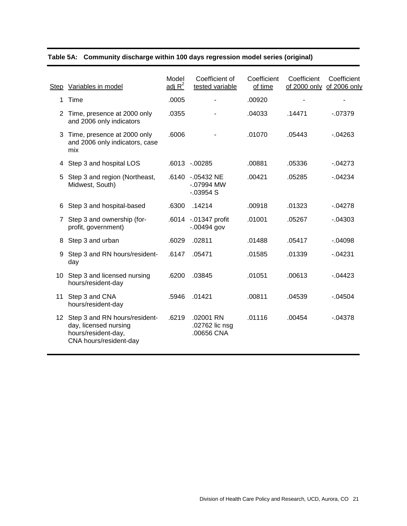|    | Step Variables in model                                                                                    | Model<br>adj $R^2$ | Coefficient of<br>tested variable              | Coefficient<br>of time | Coefficient | Coefficient<br>of 2000 only of 2006 only |
|----|------------------------------------------------------------------------------------------------------------|--------------------|------------------------------------------------|------------------------|-------------|------------------------------------------|
| 1. | Time                                                                                                       | .0005              |                                                | .00920                 |             |                                          |
|    | 2 Time, presence at 2000 only<br>and 2006 only indicators                                                  | .0355              |                                                | .04033                 | .14471      | $-07379$                                 |
| 3  | Time, presence at 2000 only<br>and 2006 only indicators, case<br>mix                                       | .6006              |                                                | .01070                 | .05443      | $-0.04263$                               |
| 4  | Step 3 and hospital LOS                                                                                    |                    | .6013 -.00285                                  | .00881                 | .05336      | $-04273$                                 |
| 5  | Step 3 and region (Northeast,<br>Midwest, South)                                                           |                    | .6140 -.05432 NE<br>$-07994$ MW<br>$-0.03954S$ | .00421                 | .05285      | $-0.04234$                               |
| 6. | Step 3 and hospital-based                                                                                  | .6300              | .14214                                         | .00918                 | .01323      | $-04278$                                 |
| 7  | Step 3 and ownership (for-<br>profit, government)                                                          |                    | .6014 -.01347 profit<br>$-0.00494$ gov         | .01001                 | .05267      | $-0.04303$                               |
| 8  | Step 3 and urban                                                                                           | .6029              | .02811                                         | .01488                 | .05417      | $-0.04098$                               |
| 9  | Step 3 and RN hours/resident-<br>day                                                                       | .6147              | .05471                                         | .01585                 | .01339      | $-04231$                                 |
|    | 10 Step 3 and licensed nursing<br>hours/resident-day                                                       | .6200              | .03845                                         | .01051                 | .00613      | $-04423$                                 |
| 11 | Step 3 and CNA<br>hours/resident-day                                                                       | .5946              | .01421                                         | .00811                 | .04539      | $-0.4504$                                |
|    | 12 Step 3 and RN hours/resident-<br>day, licensed nursing<br>hours/resident-day,<br>CNA hours/resident-day | .6219              | .02001 RN<br>.02762 lic nsg<br>.00656 CNA      | .01116                 | .00454      | $-04378$                                 |
|    |                                                                                                            |                    |                                                |                        |             |                                          |

# **Table 5A: Community discharge within 100 days regression model series (original)**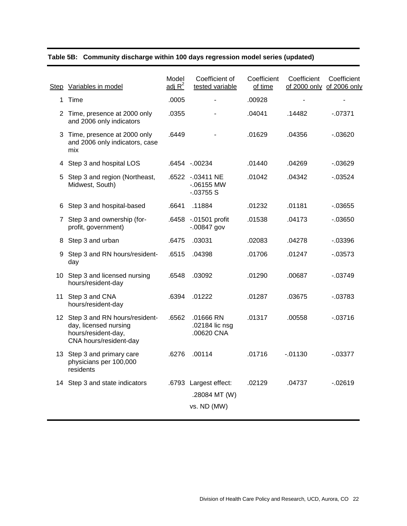| Step Variables in model                                                                                    | Model<br>adj $R^2$ | Coefficient of<br>tested variable                     | Coefficient<br>of time | Coefficient | Coefficient<br>of 2000 only of 2006 only |
|------------------------------------------------------------------------------------------------------------|--------------------|-------------------------------------------------------|------------------------|-------------|------------------------------------------|
| 1 Time                                                                                                     | .0005              |                                                       | .00928                 |             |                                          |
| 2 Time, presence at 2000 only<br>and 2006 only indicators                                                  | .0355              |                                                       | .04041                 | .14482      | $-07371$                                 |
| 3 Time, presence at 2000 only<br>and 2006 only indicators, case<br>mix                                     | .6449              |                                                       | .01629                 | .04356      | $-0.03620$                               |
| 4 Step 3 and hospital LOS                                                                                  |                    | .6454 - .00234                                        | .01440                 | .04269      | $-0.03629$                               |
| 5 Step 3 and region (Northeast,<br>Midwest, South)                                                         |                    | .6522 -.03411 NE<br>$-06155$ MW<br>$-03755S$          | .01042                 | .04342      | $-0.03524$                               |
| 6 Step 3 and hospital-based                                                                                | .6641              | .11884                                                | .01232                 | .01181      | $-0.03655$                               |
| 7 Step 3 and ownership (for-<br>profit, government)                                                        |                    | .6458 -.01501 profit<br>$-0.00847$ gov                | .01538                 | .04173      | $-0.03650$                               |
| 8 Step 3 and urban                                                                                         | .6475              | .03031                                                | .02083                 | .04278      | $-03396$                                 |
| 9 Step 3 and RN hours/resident-<br>day                                                                     | .6515              | .04398                                                | .01706                 | .01247      | $-0.03573$                               |
| 10 Step 3 and licensed nursing<br>hours/resident-day                                                       | .6548              | .03092                                                | .01290                 | .00687      | $-0.03749$                               |
| 11 Step 3 and CNA<br>hours/resident-day                                                                    | .6394              | .01222                                                | .01287                 | .03675      | $-03783$                                 |
| 12 Step 3 and RN hours/resident-<br>day, licensed nursing<br>hours/resident-day,<br>CNA hours/resident-day | .6562              | .01666 RN<br>.02184 lic nsg<br>.00620 CNA             | .01317                 | .00558      | $-03716$                                 |
| 13 Step 3 and primary care<br>physicians per 100,000<br>residents                                          | .6276              | .00114                                                | .01716                 | $-01130$    | $-0.03377$                               |
| 14 Step 3 and state indicators                                                                             |                    | .6793 Largest effect:<br>.28084 MT (W)<br>vs. ND (MW) | .02129                 | .04737      | $-02619$                                 |

# **Table 5B: Community discharge within 100 days regression model series (updated)**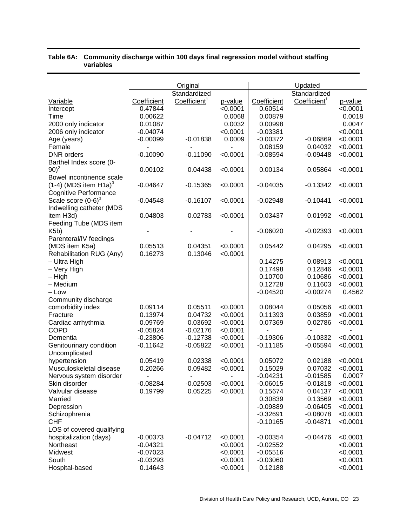|                                     |             | Original                 |          |                | Updated                  |          |
|-------------------------------------|-------------|--------------------------|----------|----------------|--------------------------|----------|
|                                     |             | Standardized             |          |                | Standardized             |          |
| Variable                            | Coefficient | Coefficient <sup>1</sup> | p-value  | Coefficient    | Coefficient <sup>1</sup> | p-value  |
| Intercept                           | 0.47844     |                          | < 0.0001 | 0.60514        |                          | < 0.0001 |
| Time                                | 0.00622     |                          | 0.0068   | 0.00879        |                          | 0.0018   |
| 2000 only indicator                 | 0.01087     |                          | 0.0032   | 0.00998        |                          | 0.0047   |
| 2006 only indicator                 | $-0.04074$  |                          | < 0.0001 | $-0.03381$     |                          | < 0.0001 |
|                                     | $-0.00099$  | $-0.01838$               | 0.0009   | $-0.00372$     | $-0.06869$               | < 0.0001 |
| Age (years)<br>Female               |             |                          |          | 0.08159        | 0.04032                  | < 0.0001 |
|                                     |             |                          |          | $-0.08594$     |                          |          |
| <b>DNR</b> orders                   | $-0.10090$  | $-0.11090$               | < 0.0001 |                | $-0.09448$               | < 0.0001 |
| Barthel Index score (0-             |             |                          |          |                |                          |          |
| $(90)^2$                            | 0.00102     | 0.04438                  | < 0.0001 | 0.00134        | 0.05864                  | < 0.0001 |
| Bowel incontinence scale            |             |                          |          |                |                          |          |
| $(1-4)$ (MDS item H1a) <sup>3</sup> | $-0.04647$  | $-0.15365$               | < 0.0001 | $-0.04035$     | $-0.13342$               | < 0.0001 |
| <b>Cognitive Performance</b>        |             |                          |          |                |                          |          |
| Scale score $(0-6)^3$               | $-0.04548$  | $-0.16107$               | < 0.0001 | $-0.02948$     | -0.10441                 | < 0.0001 |
| Indwelling catheter (MDS            |             |                          |          |                |                          |          |
| item H3d)                           | 0.04803     | 0.02783                  | < 0.0001 | 0.03437        | 0.01992                  | < 0.0001 |
| Feeding Tube (MDS item              |             |                          |          |                |                          |          |
| K5b)                                |             |                          |          | $-0.06020$     | $-0.02393$               | < 0.0001 |
| Parenteral/IV feedings              |             |                          |          |                |                          |          |
| (MDS item K5a)                      | 0.05513     | 0.04351                  | < 0.0001 | 0.05442        | 0.04295                  | < 0.0001 |
| Rehabilitation RUG (Any)            | 0.16273     | 0.13046                  | < 0.0001 |                |                          |          |
| - Ultra High                        |             |                          |          | 0.14275        | 0.08913                  | < 0.0001 |
| - Very High                         |             |                          |          | 0.17498        | 0.12846                  | < 0.0001 |
| – High                              |             |                          |          | 0.10700        | 0.10686                  | < 0.0001 |
| - Medium                            |             |                          |          | 0.12728        | 0.11603                  | < 0.0001 |
| – Low                               |             |                          |          | $-0.04520$     | $-0.00274$               | 0.4562   |
| Community discharge                 |             |                          |          |                |                          |          |
| comorbidity index                   | 0.09114     | 0.05511                  | < 0.0001 | 0.08044        | 0.05056                  | < 0.0001 |
| Fracture                            | 0.13974     | 0.04732                  | < 0.0001 | 0.11393        | 0.03859                  | < 0.0001 |
| Cardiac arrhythmia                  | 0.09769     | 0.03692                  | < 0.0001 | 0.07369        | 0.02786                  | < 0.0001 |
| <b>COPD</b>                         | $-0.05824$  | $-0.02176$               | < 0.0001 | $\blacksquare$ |                          | ۰        |
| Dementia                            | $-0.23806$  | $-0.12738$               | < 0.0001 | $-0.19306$     | $-0.10332$               | < 0.0001 |
| Genitourinary condition             | $-0.11642$  | $-0.05822$               | < 0.0001 | $-0.11185$     | $-0.05594$               | < 0.0001 |
| Uncomplicated                       |             |                          |          |                |                          |          |
| hypertension                        | 0.05419     | 0.02338                  | < 0.0001 | 0.05072        | 0.02188                  | < 0.0001 |
| Musculoskeletal disease             | 0.20266     | 0.09482                  | < 0.0001 | 0.15029        | 0.07032                  | < 0.0001 |
| Nervous system disorder             | ÷,          | $\blacksquare$           | ٠        | $-0.04231$     | $-0.01585$               | 0.0007   |
| Skin disorder                       | $-0.08284$  | $-0.02503$               | < 0.0001 | $-0.06015$     | $-0.01818$               | < 0.0001 |
| Valvular disease                    | 0.19799     | 0.05225                  | < 0.0001 | 0.15674        | 0.04137                  | < 0.0001 |
| Married                             |             |                          |          | 0.30839        | 0.13569                  | < 0.0001 |
|                                     |             |                          |          |                | $-0.06405$               | < 0.0001 |
| Depression                          |             |                          |          | $-0.09889$     |                          |          |
| Schizophrenia                       |             |                          |          | $-0.32691$     | $-0.08078$               | < 0.0001 |
| <b>CHF</b>                          |             |                          |          | $-0.10165$     | $-0.04871$               | < 0.0001 |
| LOS of covered qualifying           |             |                          |          |                |                          |          |
| hospitalization (days)              | $-0.00373$  | $-0.04712$               | < 0.0001 | $-0.00354$     | -0.04476                 | < 0.0001 |
| Northeast                           | $-0.04321$  |                          | < 0.0001 | $-0.02552$     |                          | < 0.0001 |
| Midwest                             | $-0.07023$  |                          | < 0.0001 | $-0.05516$     |                          | < 0.0001 |
| South                               | $-0.03293$  |                          | < 0.0001 | $-0.03060$     |                          | < 0.0001 |
| Hospital-based                      | 0.14643     |                          | < 0.0001 | 0.12188        |                          | < 0.0001 |

### **Table 6A: Community discharge within 100 days final regression model without staffing variables**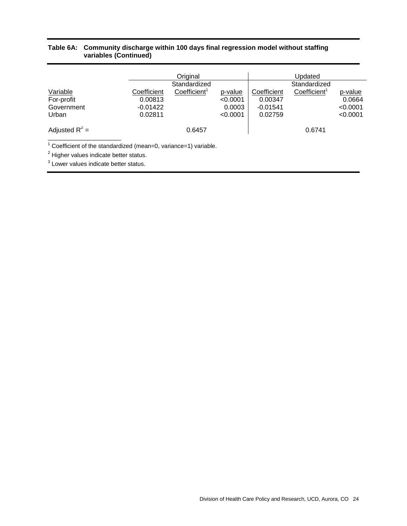#### **Table 6A: Community discharge within 100 days final regression model without staffing variables (Continued)**

|                  |             | Original                 |          |             | Updated                  |          |
|------------------|-------------|--------------------------|----------|-------------|--------------------------|----------|
|                  |             | Standardized             |          |             | Standardized             |          |
| Variable         | Coefficient | Coefficient <sup>1</sup> | p-value  | Coefficient | Coefficient <sup>1</sup> | p-value  |
| For-profit       | 0.00813     |                          | < 0.0001 | 0.00347     |                          | 0.0664   |
| Government       | $-0.01422$  |                          | 0.0003   | $-0.01541$  |                          | < 0.0001 |
| Urban            | 0.02811     |                          | < 0.0001 | 0.02759     |                          | < 0.0001 |
| Adjusted $R^2$ = |             | 0.6457                   |          |             | 0.6741                   |          |
|                  |             |                          |          |             |                          |          |

 $1$  Coefficient of the standardized (mean=0, variance=1) variable.

 $2$  Higher values indicate better status.

 $3$  Lower values indicate better status.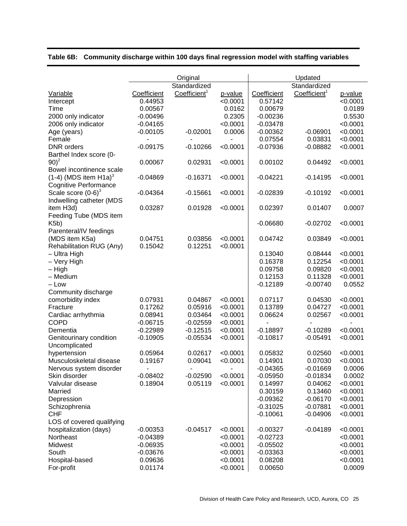|                                     |                          | Original                 |          |                | Updated                  |          |
|-------------------------------------|--------------------------|--------------------------|----------|----------------|--------------------------|----------|
|                                     |                          | Standardized             |          |                | Standardized             |          |
| Variable                            | Coefficient              | Coefficient <sup>1</sup> | p-value  | Coefficient    | Coefficient <sup>1</sup> | p-value  |
| Intercept                           | 0.44953                  |                          | < 0.0001 | 0.57142        |                          | < 0.0001 |
| Time                                | 0.00567                  |                          | 0.0162   | 0.00679        |                          | 0.0189   |
| 2000 only indicator                 | $-0.00496$               |                          | 0.2305   | $-0.00236$     |                          | 0.5530   |
| 2006 only indicator                 | $-0.04165$               |                          | < 0.0001 | $-0.03478$     |                          | < 0.0001 |
| Age (years)                         | $-0.00105$               | $-0.02001$               | 0.0006   | $-0.00362$     | $-0.06901$               | < 0.0001 |
| Female                              |                          |                          |          | 0.07554        | 0.03831                  | < 0.0001 |
| DNR orders                          | $-0.09175$               | $-0.10266$               | < 0.0001 | $-0.07936$     | $-0.08882$               | < 0.0001 |
| Barthel Index score (0-             |                          |                          |          |                |                          |          |
| $90)^2$                             | 0.00067                  | 0.02931                  | < 0.0001 | 0.00102        | 0.04492                  | < 0.0001 |
| Bowel incontinence scale            |                          |                          |          |                |                          |          |
| $(1-4)$ (MDS item H1a) <sup>3</sup> | $-0.04869$               | $-0.16371$               | < 0.0001 | $-0.04221$     | $-0.14195$               | < 0.0001 |
| <b>Cognitive Performance</b>        |                          |                          |          |                |                          |          |
| Scale score $(0-6)^3$               | $-0.04364$               | $-0.15661$               | < 0.0001 | $-0.02839$     | $-0.10192$               | < 0.0001 |
| Indwelling catheter (MDS            |                          |                          |          |                |                          |          |
| item H3d)                           | 0.03287                  | 0.01928                  | < 0.0001 | 0.02397        | 0.01407                  | 0.0007   |
| Feeding Tube (MDS item              |                          |                          |          |                |                          |          |
| K5b)                                |                          |                          |          | $-0.06680$     | $-0.02702$               | < 0.0001 |
| Parenteral/IV feedings              |                          |                          |          |                |                          |          |
| (MDS item K5a)                      | 0.04751                  | 0.03856                  | < 0.0001 | 0.04742        | 0.03849                  | < 0.0001 |
| Rehabilitation RUG (Any)            | 0.15042                  | 0.12251                  | < 0.0001 |                |                          |          |
| - Ultra High                        |                          |                          |          | 0.13040        | 0.08444                  | < 0.0001 |
| - Very High                         |                          |                          |          | 0.16378        | 0.12254                  | < 0.0001 |
| – High                              |                          |                          |          | 0.09758        | 0.09820                  | < 0.0001 |
| - Medium                            |                          |                          |          | 0.12153        | 0.11328                  | < 0.0001 |
| – Low                               |                          |                          |          | $-0.12189$     | $-0.00740$               | 0.0552   |
| Community discharge                 |                          |                          |          |                |                          |          |
| comorbidity index                   | 0.07931                  | 0.04867                  | < 0.0001 | 0.07117        | 0.04530                  | < 0.0001 |
| Fracture                            | 0.17262                  | 0.05916                  | < 0.0001 | 0.13789        | 0.04727                  | < 0.0001 |
| Cardiac arrhythmia                  | 0.08941                  | 0.03464                  | < 0.0001 | 0.06624        | 0.02567                  | < 0.0001 |
| <b>COPD</b>                         | $-0.06715$               | $-0.02559$               | < 0.0001 | $\overline{a}$ |                          | ٠        |
| Dementia                            | $-0.22989$               | $-0.12515$               | < 0.0001 | $-0.18897$     | $-0.10289$               | < 0.0001 |
| Genitourinary condition             | $-0.10905$               | $-0.05534$               | < 0.0001 | $-0.10817$     | $-0.05491$               | < 0.0001 |
| Uncomplicated                       |                          |                          |          |                |                          |          |
| hypertension                        | 0.05964                  | 0.02617                  | < 0.0001 | 0.05832        | 0.02560                  | < 0.0001 |
| Musculoskeletal disease             | 0.19167                  | 0.09041                  | < 0.0001 | 0.14901        | 0.07030                  | < 0.0001 |
| Nervous system disorder             | $\overline{\phantom{0}}$ |                          |          | $-0.04365$     | $-0.01669$               | 0.0006   |
| Skin disorder                       | $-0.08402$               | $-0.02590$               | < 0.0001 | $-0.05950$     | $-0.01834$               | 0.0002   |
| Valvular disease                    | 0.18904                  | 0.05119                  | < 0.0001 | 0.14997        | 0.04062                  | < 0.0001 |
| Married                             |                          |                          |          | 0.30159        | 0.13460                  | < 0.0001 |
| Depression                          |                          |                          |          | $-0.09362$     | $-0.06170$               | < 0.0001 |
| Schizophrenia                       |                          |                          |          | $-0.31025$     | $-0.07881$               | < 0.0001 |
| <b>CHF</b>                          |                          |                          |          | $-0.10061$     | $-0.04906$               | < 0.0001 |
| LOS of covered qualifying           |                          |                          |          |                |                          |          |
| hospitalization (days)              | $-0.00353$               | $-0.04517$               | < 0.0001 | $-0.00327$     | $-0.04189$               | < 0.0001 |
| Northeast                           | $-0.04389$               |                          | < 0.0001 | $-0.02723$     |                          | < 0.0001 |
| Midwest                             | $-0.06935$               |                          | < 0.0001 | $-0.05502$     |                          | < 0.0001 |
| South                               | $-0.03676$               |                          | < 0.0001 | $-0.03363$     |                          | < 0.0001 |
| Hospital-based                      | 0.09636                  |                          | < 0.0001 | 0.08208        |                          | < 0.0001 |
| For-profit                          | 0.01174                  |                          | < 0.0001 | 0.00650        |                          | 0.0009   |

# **Table 6B: Community discharge within 100 days final regression model with staffing variables**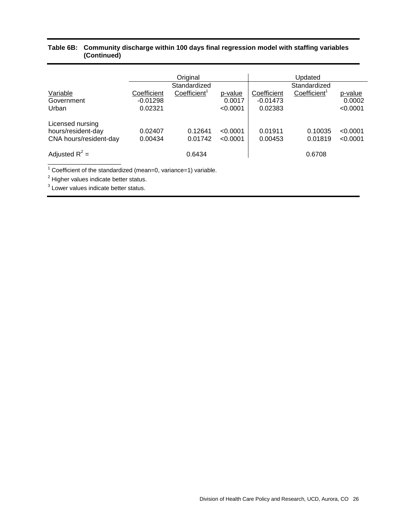#### **Table 6B: Community discharge within 100 days final regression model with staffing variables (Continued)**

|                        | Original    |                          |          | Updated      |                          |          |
|------------------------|-------------|--------------------------|----------|--------------|--------------------------|----------|
|                        |             | Standardized             |          | Standardized |                          |          |
| Variable               | Coefficient | Coefficient <sup>1</sup> | p-value  | Coefficient  | Coefficient <sup>1</sup> | p-value  |
| Government             | $-0.01298$  |                          | 0.0017   | $-0.01473$   |                          | 0.0002   |
| Urban                  | 0.02321     |                          | < 0.0001 | 0.02383      |                          | < 0.0001 |
| Licensed nursing       |             |                          |          |              |                          |          |
| hours/resident-day     | 0.02407     | 0.12641                  | < 0.0001 | 0.01911      | 0.10035                  | < 0.0001 |
| CNA hours/resident-day | 0.00434     | 0.01742                  | < 0.0001 | 0.00453      | 0.01819                  | < 0.0001 |
|                        |             |                          |          |              |                          |          |
| Adjusted $R^2$ =       |             | 0.6434                   |          |              | 0.6708                   |          |
|                        |             |                          |          |              |                          |          |

 $1$  Coefficient of the standardized (mean=0, variance=1) variable.

<sup>2</sup> Higher values indicate better status.

<sup>3</sup> Lower values indicate better status.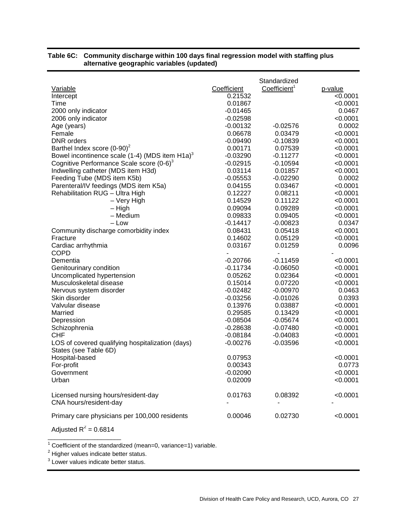| Variable<br>Intercept<br>Time<br>2000 only indicator<br>2006 only indicator<br>Age (years)<br>Female<br><b>DNR</b> orders<br>Barthel Index score $(0-90)^2$<br>Bowel incontinence scale (1-4) (MDS item $H1a$ ) <sup>3</sup><br>Cognitive Performance Scale score (0-6) <sup>3</sup><br>Indwelling catheter (MDS item H3d)<br>Feeding Tube (MDS item K5b)<br>Parenteral/IV feedings (MDS item K5a)<br>Rehabilitation RUG - Ultra High<br>- Very High<br>– High<br>- Medium<br>– Low<br>Community discharge comorbidity index<br>Fracture<br>Cardiac arrhythmia<br><b>COPD</b><br>Dementia<br>Genitourinary condition<br>Uncomplicated hypertension<br>Musculoskeletal disease<br>Nervous system disorder<br>Skin disorder<br>Valvular disease<br>Married<br>Depression<br>Schizophrenia<br><b>CHF</b><br>LOS of covered qualifying hospitalization (days)<br>States (see Table 6D)<br>Hospital-based<br>For-profit<br>Government<br>Urban | Coefficient<br>0.21532<br>0.01867<br>$-0.01465$<br>$-0.02598$<br>$-0.00132$<br>0.06678<br>$-0.09490$<br>0.00171<br>$-0.03290$<br>$-0.02915$<br>0.03114<br>$-0.05553$<br>0.04155<br>0.12227<br>0.14529<br>0.09094<br>0.09833<br>$-0.14417$<br>0.08431<br>0.14602<br>0.03167<br>$-0.20766$<br>$-0.11734$<br>0.05262<br>0.15014<br>$-0.02482$<br>$-0.03256$<br>0.13976<br>0.29585<br>$-0.08504$<br>$-0.28638$<br>$-0.08184$<br>$-0.00276$<br>0.07953<br>0.00343<br>$-0.02090$<br>0.02009 | Standardized<br>Coefficient <sup>1</sup><br>$-0.02576$<br>0.03479<br>$-0.10839$<br>0.07539<br>$-0.11277$<br>$-0.10594$<br>0.01857<br>$-0.02290$<br>0.03467<br>0.08211<br>0.11122<br>0.09289<br>0.09405<br>$-0.00823$<br>0.05418<br>0.05129<br>0.01259<br>$-0.11459$<br>$-0.06050$<br>0.02364<br>0.07220<br>$-0.00970$<br>$-0.01026$<br>0.03887<br>0.13429<br>$-0.05674$<br>$-0.07480$<br>$-0.04083$<br>$-0.03596$ | p-value<br>< 0.0001<br>< 0.0001<br>0.0467<br>< 0.0001<br>0.0002<br>< 0.0001<br>< 0.0001<br>< 0.0001<br>< 0.0001<br>< 0.0001<br>< 0.0001<br>0.0002<br>< 0.0001<br>< 0.0001<br>< 0.0001<br>< 0.0001<br>< 0.0001<br>0.0347<br>< 0.0001<br>< 0.0001<br>0.0096<br>< 0.0001<br>< 0.0001<br>< 0.0001<br>< 0.0001<br>0.0463<br>0.0393<br>< 0.0001<br>< 0.0001<br>< 0.0001<br>< 0.0001<br>< 0.0001<br>< 0.0001<br>< 0.0001<br>0.0773<br>< 0.0001<br>< 0.0001 |
|-------------------------------------------------------------------------------------------------------------------------------------------------------------------------------------------------------------------------------------------------------------------------------------------------------------------------------------------------------------------------------------------------------------------------------------------------------------------------------------------------------------------------------------------------------------------------------------------------------------------------------------------------------------------------------------------------------------------------------------------------------------------------------------------------------------------------------------------------------------------------------------------------------------------------------------------|---------------------------------------------------------------------------------------------------------------------------------------------------------------------------------------------------------------------------------------------------------------------------------------------------------------------------------------------------------------------------------------------------------------------------------------------------------------------------------------|-------------------------------------------------------------------------------------------------------------------------------------------------------------------------------------------------------------------------------------------------------------------------------------------------------------------------------------------------------------------------------------------------------------------|-----------------------------------------------------------------------------------------------------------------------------------------------------------------------------------------------------------------------------------------------------------------------------------------------------------------------------------------------------------------------------------------------------------------------------------------------------|
| Licensed nursing hours/resident-day<br>CNA hours/resident-day                                                                                                                                                                                                                                                                                                                                                                                                                                                                                                                                                                                                                                                                                                                                                                                                                                                                             | 0.01763                                                                                                                                                                                                                                                                                                                                                                                                                                                                               | 0.08392                                                                                                                                                                                                                                                                                                                                                                                                           | < 0.0001                                                                                                                                                                                                                                                                                                                                                                                                                                            |
| Primary care physicians per 100,000 residents                                                                                                                                                                                                                                                                                                                                                                                                                                                                                                                                                                                                                                                                                                                                                                                                                                                                                             | 0.00046                                                                                                                                                                                                                                                                                                                                                                                                                                                                               | 0.02730                                                                                                                                                                                                                                                                                                                                                                                                           | < 0.0001                                                                                                                                                                                                                                                                                                                                                                                                                                            |

## **Table 6C: Community discharge within 100 days final regression model with staffing plus alternative geographic variables (updated)**

Adjusted  $R^2$  = 0.6814 \_\_\_\_\_\_\_\_\_\_\_\_\_\_\_\_\_\_\_\_\_\_

 $1$  Coefficient of the standardized (mean=0, variance=1) variable.

 $2$  Higher values indicate better status.

<sup>3</sup> Lower values indicate better status.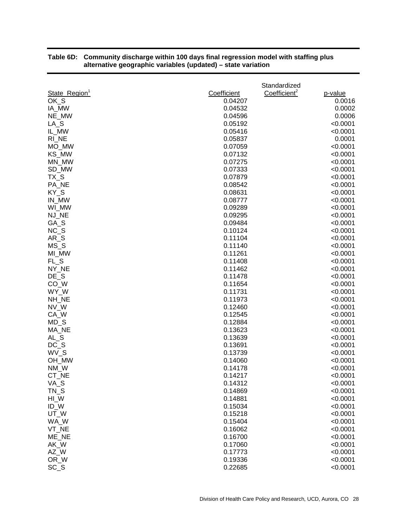|                           |             | Standardized             |          |
|---------------------------|-------------|--------------------------|----------|
| State_Region <sup>1</sup> | Coefficient | Coefficient <sup>2</sup> | p-value  |
| OK_S                      | 0.04207     |                          | 0.0016   |
| IA_MW                     | 0.04532     |                          | 0.0002   |
| NE_MW                     | 0.04596     |                          | 0.0006   |
| $LA_S$                    | 0.05192     |                          | < 0.0001 |
| IL_MW                     | 0.05416     |                          | < 0.0001 |
| RI_NE                     | 0.05837     |                          | 0.0001   |
| MO_MW                     | 0.07059     |                          | < 0.0001 |
| KS MW                     | 0.07132     |                          | < 0.0001 |
| MN MW                     | 0.07275     |                          | < 0.0001 |
| SD_MW                     | 0.07333     |                          | < 0.0001 |
| $TX_S$                    | 0.07879     |                          | < 0.0001 |
| PA_NE                     | 0.08542     |                          | < 0.0001 |
| KY_S                      | 0.08631     |                          | < 0.0001 |
| IN_MW                     | 0.08777     |                          | < 0.0001 |
| WI_MW                     | 0.09289     |                          | < 0.0001 |
| NJ_NE                     | 0.09295     |                          | < 0.0001 |
| GA_S                      | 0.09484     |                          | < 0.0001 |
| $NC_S$                    | 0.10124     |                          | < 0.0001 |
| AR S                      | 0.11104     |                          | < 0.0001 |
| $MS_S$                    | 0.11140     |                          | < 0.0001 |
| MI MW                     | 0.11261     |                          | < 0.0001 |
| $FL_S$                    | 0.11408     |                          | < 0.0001 |
| NY_NE                     | 0.11462     |                          | < 0.0001 |
| $DE_S$                    | 0.11478     |                          | < 0.0001 |
| $CO_{M}$                  | 0.11654     |                          | < 0.0001 |
| WY_W                      | 0.11731     |                          | < 0.0001 |
| NH_NE                     | 0.11973     |                          | < 0.0001 |
| NV_W                      | 0.12460     |                          | < 0.0001 |
| CA_W                      | 0.12545     |                          | < 0.0001 |
| $MD_S$                    | 0.12884     |                          | < 0.0001 |
| MA NE                     | 0.13623     |                          | < 0.0001 |
| AL_S                      | 0.13639     |                          | < 0.0001 |
| $DC_S$                    | 0.13691     |                          | < 0.0001 |
| WV_S                      | 0.13739     |                          | < 0.0001 |
| OH_MW                     | 0.14060     |                          | < 0.0001 |
| NM_W                      | 0.14178     |                          | < 0.0001 |
| CT_NE                     | 0.14217     |                          | < 0.0001 |
| VA_S                      | 0.14312     |                          | < 0.0001 |
| $TN_S$                    | 0.14869     |                          | < 0.0001 |
| $HI_W$                    | 0.14881     |                          | < 0.0001 |
| ID_W                      | 0.15034     |                          | < 0.0001 |
| UT_W                      | 0.15218     |                          | < 0.0001 |
| WA W                      | 0.15404     |                          | < 0.0001 |
| VT_NE                     | 0.16062     |                          | < 0.0001 |
| ME_NE                     | 0.16700     |                          | < 0.0001 |
| AK_W                      | 0.17060     |                          | < 0.0001 |
| AZ_W                      | 0.17773     |                          | < 0.0001 |
| OR_W                      | 0.19336     |                          | < 0.0001 |
| $SC_S$                    | 0.22685     |                          | < 0.0001 |

#### **Table 6D: Community discharge within 100 days final regression model with staffing plus alternative geographic variables (updated) – state variation**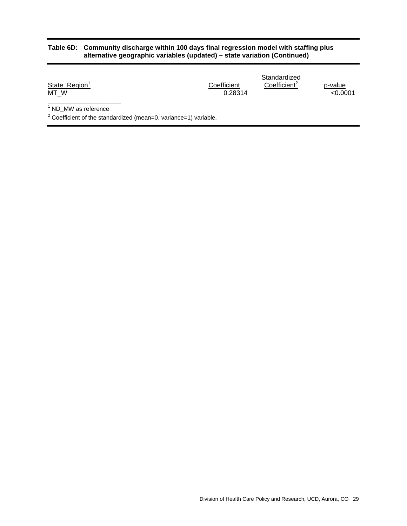#### **Table 6D: Community discharge within 100 days final regression model with staffing plus alternative geographic variables (updated) – state variation (Continued)**

|                           |             | Standardized             |         |
|---------------------------|-------------|--------------------------|---------|
| State_Region <sup>1</sup> | Coefficient | Coefficient <sup>2</sup> | p-value |
| MT W                      | 0.28314     |                          | <0.0001 |
| .                         |             |                          |         |

<sup>1</sup> ND\_MW as reference

 $2$  Coefficient of the standardized (mean=0, variance=1) variable.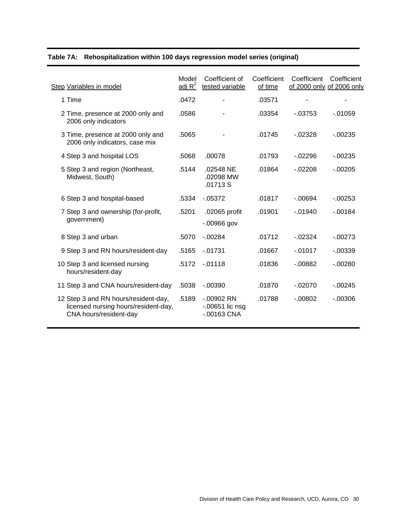|  | Table 7A: Rehospitalization within 100 days regression model series (original) |  |  |
|--|--------------------------------------------------------------------------------|--|--|
|--|--------------------------------------------------------------------------------|--|--|

| Step Variables in model                                                                                | Model<br>adj $R^2$ | Coefficient of<br>tested variable                  | Coefficient<br>of time | Coefficient<br>of 2000 only of 2006 only | Coefficient |
|--------------------------------------------------------------------------------------------------------|--------------------|----------------------------------------------------|------------------------|------------------------------------------|-------------|
| 1 Time                                                                                                 | .0472              |                                                    | .03571                 |                                          |             |
| 2 Time, presence at 2000 only and<br>2006 only indicators                                              | .0586              |                                                    | .03354                 | $-0.3753$                                | $-01059$    |
| 3 Time, presence at 2000 only and<br>2006 only indicators, case mix                                    | .5065              |                                                    | .01745                 | $-02328$                                 | $-00235$    |
| 4 Step 3 and hospital LOS                                                                              | .5068              | .00078                                             | .01793                 | $-02296$                                 | $-00235$    |
| 5 Step 3 and region (Northeast,<br>Midwest, South)                                                     | .5144              | .02548 NE<br>.02098 MW<br>.01713 S                 | .01864                 | $-02208$                                 | $-00205$    |
| 6 Step 3 and hospital-based                                                                            | .5334              | $-0.05372$                                         | .01817                 | $-0.0694$                                | $-0.00253$  |
| 7 Step 3 and ownership (for-profit,<br>government)                                                     | .5201              | .02065 profit<br>$-00966$ gov                      | .01901                 | $-0.01940$                               | $-00184$    |
| 8 Step 3 and urban                                                                                     | .5070              | $-00284$                                           | .01712                 | $-02324$                                 | $-00273$    |
| 9 Step 3 and RN hours/resident-day                                                                     | .5165              | $-01731$                                           | .01667                 | $-0.01017$                               | $-0.00339$  |
| 10 Step 3 and licensed nursing<br>hours/resident-day                                                   | .5172              | $-01118$                                           | .01836                 | $-0.00882$                               | $-00280$    |
| 11 Step 3 and CNA hours/resident-day                                                                   | .5038              | $-0.00390$                                         | .01870                 | $-02070$                                 | $-0.00245$  |
| 12 Step 3 and RN hours/resident-day,<br>licensed nursing hours/resident-day,<br>CNA hours/resident-day | .5189              | $-.00902$ RN<br>$-0.00651$ lic nsg<br>$-00163$ CNA | .01788                 | $-.00802$                                | $-00306$    |
|                                                                                                        |                    |                                                    |                        |                                          |             |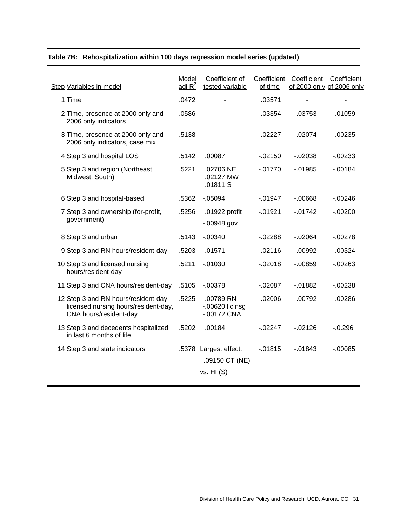| Table 7B: Rehospitalization within 100 days regression model series (updated) |  |
|-------------------------------------------------------------------------------|--|
|-------------------------------------------------------------------------------|--|

| <b>Step Variables in model</b>                                                                         | Model<br>adj $R^2$ | Coefficient of<br>tested variable                 | Coefficient<br>of time | Coefficient    | Coefficient<br>of 2000 only of 2006 only |
|--------------------------------------------------------------------------------------------------------|--------------------|---------------------------------------------------|------------------------|----------------|------------------------------------------|
| 1 Time                                                                                                 | .0472              |                                                   | .03571                 | $\blacksquare$ |                                          |
| 2 Time, presence at 2000 only and<br>2006 only indicators                                              | .0586              |                                                   | .03354                 | $-0.03753$     | $-0.01059$                               |
| 3 Time, presence at 2000 only and<br>2006 only indicators, case mix                                    | .5138              |                                                   | $-02227$               | $-02074$       | $-0.00235$                               |
| 4 Step 3 and hospital LOS                                                                              | .5142              | .00087                                            | $-02150$               | $-02038$       | $-0.00233$                               |
| 5 Step 3 and region (Northeast,<br>Midwest, South)                                                     | .5221              | .02706 NE<br>.02127 MW<br>.01811 S                | $-01770$               | $-01985$       | $-00184$                                 |
| 6 Step 3 and hospital-based                                                                            | .5362              | $-05094$                                          | $-01947$               | $-0.00668$     | $-00246$                                 |
| 7 Step 3 and ownership (for-profit,<br>government)                                                     | .5256              | .01922 profit<br>$-0.00948$ gov                   | $-01921$               | $-01742$       | $-00200$                                 |
| 8 Step 3 and urban                                                                                     | .5143              | $-0.00340$                                        | $-02288$               | $-02064$       | $-.00278$                                |
| 9 Step 3 and RN hours/resident-day                                                                     | .5203              | $-01571$                                          | $-02116$               | $-0.0992$      | $-0.00324$                               |
| 10 Step 3 and licensed nursing<br>hours/resident-day                                                   | .5211              | $-0.01030$                                        | $-02018$               | $-0.00859$     | $-00263$                                 |
| 11 Step 3 and CNA hours/resident-day                                                                   | .5105              | $-0.00378$                                        | $-02087$               | $-01882$       | $-00238$                                 |
| 12 Step 3 and RN hours/resident-day,<br>licensed nursing hours/resident-day,<br>CNA hours/resident-day | .5225              | $-00789$ RN<br>$-0.00620$ lic nsg<br>$-00172$ CNA | $-02006$               | $-00792$       | $-00286$                                 |
| 13 Step 3 and decedents hospitalized<br>in last 6 months of life                                       | .5202              | .00184                                            | $-02247$               | $-02126$       | $-0.296$                                 |
| 14 Step 3 and state indicators                                                                         |                    | .5378 Largest effect:                             | $-01815$               | $-01843$       | $-0.00085$                               |
|                                                                                                        |                    | .09150 CT (NE)                                    |                        |                |                                          |
|                                                                                                        |                    | vs. H1(S)                                         |                        |                |                                          |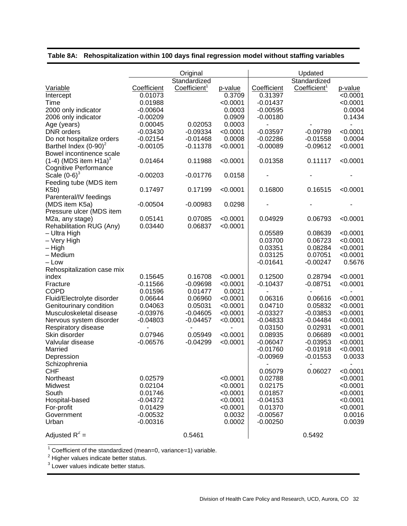|                                     |                          | Original                 |          |             | Updated                  |          |
|-------------------------------------|--------------------------|--------------------------|----------|-------------|--------------------------|----------|
|                                     |                          | Standardized             |          |             | Standardized             |          |
| Variable                            | Coefficient              | Coefficient <sup>1</sup> | p-value  | Coefficient | Coefficient <sup>1</sup> | p-value  |
| Intercept                           | 0.01073                  |                          | 0.3709   | 0.31397     |                          | < 0.0001 |
| Time                                | 0.01988                  |                          | < 0.0001 | $-0.01437$  |                          | < 0.0001 |
| 2000 only indicator                 | $-0.00604$               |                          | 0.0003   | $-0.00595$  |                          | 0.0004   |
| 2006 only indicator                 | $-0.00209$               |                          | 0.0909   | $-0.00180$  |                          | 0.1434   |
| Age (years)                         | 0.00045                  | 0.02053                  | 0.0003   |             |                          |          |
| <b>DNR</b> orders                   | $-0.03430$               | $-0.09334$               | < 0.0001 | $-0.03597$  | $-0.09789$               | < 0.0001 |
| Do not hospitalize orders           | $-0.02154$               | $-0.01468$               | 0.0008   | $-0.02286$  | $-0.01558$               | 0.0004   |
| Barthel Index $(0-90)^2$            | $-0.00105$               | $-0.11378$               | < 0.0001 | $-0.00089$  | $-0.09612$               | < 0.0001 |
| Bowel incontinence scale            |                          |                          |          |             |                          |          |
|                                     |                          |                          |          |             |                          |          |
| $(1-4)$ (MDS item H1a) <sup>3</sup> | 0.01464                  | 0.11988                  | < 0.0001 | 0.01358     | 0.11117                  | < 0.0001 |
| <b>Cognitive Performance</b>        |                          |                          |          |             |                          |          |
| Scale $(0-6)^3$                     | $-0.00203$               | $-0.01776$               | 0.0158   |             |                          |          |
| Feeding tube (MDS item              |                          |                          |          |             |                          |          |
| K5b)                                | 0.17497                  | 0.17199                  | < 0.0001 | 0.16800     | 0.16515                  | < 0.0001 |
| Parenteral/IV feedings              |                          |                          |          |             |                          |          |
| (MDS item K5a)                      | $-0.00504$               | $-0.00983$               | 0.0298   |             |                          |          |
| Pressure ulcer (MDS item            |                          |                          |          |             |                          |          |
| M <sub>2</sub> a, any stage)        | 0.05141                  | 0.07085                  | < 0.0001 | 0.04929     | 0.06793                  | < 0.0001 |
| Rehabilitation RUG (Any)            | 0.03440                  | 0.06837                  | < 0.0001 |             |                          |          |
| - Ultra High                        |                          |                          |          | 0.05589     | 0.08639                  | < 0.0001 |
| - Very High                         |                          |                          |          | 0.03700     | 0.06723                  | < 0.0001 |
| – High                              |                          |                          |          | 0.03351     | 0.08284                  | < 0.0001 |
| - Medium                            |                          |                          |          | 0.03125     | 0.07051                  | < 0.0001 |
| – Low                               |                          |                          |          | $-0.01641$  | $-0.00247$               | 0.5676   |
| Rehospitalization case mix          |                          |                          |          |             |                          |          |
| index                               | 0.15645                  | 0.16708                  | < 0.0001 | 0.12500     | 0.28794                  | < 0.0001 |
| Fracture                            | $-0.11566$               | $-0.09698$               | < 0.0001 | $-0.10437$  | $-0.08751$               | < 0.0001 |
| <b>COPD</b>                         | 0.01596                  | 0.01477                  | 0.0021   |             |                          |          |
| Fluid/Electrolyte disorder          | 0.06644                  | 0.06960                  | < 0.0001 | 0.06316     | 0.06616                  | < 0.0001 |
| Genitourinary condition             | 0.04063                  | 0.05031                  | < 0.0001 | 0.04710     | 0.05832                  | < 0.0001 |
| Musculoskeletal disease             | $-0.03976$               | $-0.04605$               | < 0.0001 | $-0.03327$  | $-0.03853$               | < 0.0001 |
| Nervous system disorder             | $-0.04803$               | $-0.04457$               | < 0.0001 | $-0.04833$  | $-0.04484$               | < 0.0001 |
| Respiratory disease                 | $\overline{\phantom{a}}$ |                          |          | 0.03150     | 0.02931                  | < 0.0001 |
| Skin disorder                       | 0.07946                  | 0.05949                  | < 0.0001 | 0.08935     | 0.06689                  | < 0.0001 |
| Valvular disease                    | $-0.06576$               | $-0.04299$               | < 0.0001 | $-0.06047$  | $-0.03953$               | < 0.0001 |
| Married                             |                          |                          |          | $-0.01760$  | $-0.01918$               | < 0.0001 |
| Depression                          |                          |                          |          | $-0.00969$  | $-0.01553$               | 0.0033   |
| Schizophrenia                       |                          |                          |          |             |                          |          |
| <b>CHF</b>                          |                          |                          |          | 0.05079     | 0.06027                  | < 0.0001 |
| Northeast                           | 0.02579                  |                          | < 0.0001 | 0.02788     |                          | < 0.0001 |
| Midwest                             | 0.02104                  |                          | < 0.0001 | 0.02175     |                          | < 0.0001 |
| South                               | 0.01746                  |                          | < 0.0001 | 0.01857     |                          | < 0.0001 |
| Hospital-based                      | $-0.04372$               |                          | < 0.0001 | $-0.04153$  |                          | < 0.0001 |
| For-profit                          | 0.01429                  |                          | < 0.0001 | 0.01370     |                          | < 0.0001 |
| Government                          | $-0.00532$               |                          | 0.0032   | $-0.00567$  |                          | 0.0016   |
| Urban                               | $-0.00316$               |                          | 0.0002   | $-0.00250$  |                          | 0.0039   |
|                                     |                          |                          |          |             |                          |          |
| Adjusted $R^2$ =                    |                          | 0.5461                   |          |             | 0.5492                   |          |

# **Table 8A: Rehospitalization within 100 days final regression model without staffing variables**

 $1$  Coefficient of the standardized (mean=0, variance=1) variable.

 $2$  Higher values indicate better status.

\_\_\_\_\_\_\_\_\_\_\_\_\_\_\_\_\_\_\_\_\_\_

 $3$  Lower values indicate better status.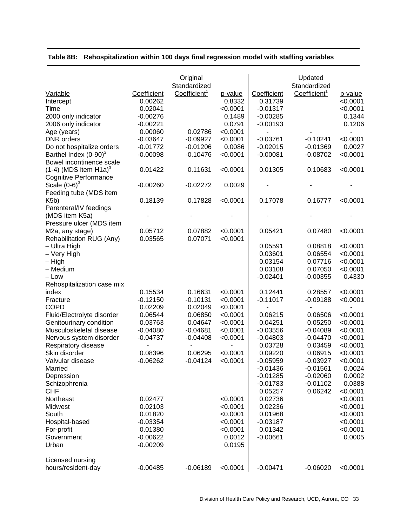|                                             |             | Original                 |          |             | Updated                  |          |
|---------------------------------------------|-------------|--------------------------|----------|-------------|--------------------------|----------|
|                                             |             | Standardized             |          |             | Standardized             |          |
| Variable                                    | Coefficient | Coefficient <sup>1</sup> | p-value  | Coefficient | Coefficient <sup>1</sup> | p-value  |
| Intercept                                   | 0.00262     |                          | 0.8332   | 0.31739     |                          | < 0.0001 |
| Time                                        | 0.02041     |                          | < 0.0001 | $-0.01317$  |                          | < 0.0001 |
| 2000 only indicator                         | $-0.00276$  |                          | 0.1489   | $-0.00285$  |                          | 0.1344   |
| 2006 only indicator                         | $-0.00221$  |                          | 0.0791   | $-0.00193$  |                          | 0.1206   |
| Age (years)                                 | 0.00060     | 0.02786                  | < 0.0001 |             |                          |          |
| <b>DNR</b> orders                           | $-0.03647$  | $-0.09927$               | < 0.0001 | $-0.03761$  | $-0.10241$               | < 0.0001 |
| Do not hospitalize orders                   | $-0.01772$  | $-0.01206$               | 0.0086   | $-0.02015$  | $-0.01369$               | 0.0027   |
| Barthel Index $(0-90)^2$                    | $-0.00098$  | $-0.10476$               | < 0.0001 | $-0.00081$  | $-0.08702$               | < 0.0001 |
| Bowel incontinence scale                    |             |                          |          |             |                          |          |
| $(1-4)$ (MDS item H1a) <sup>3</sup>         | 0.01422     | 0.11631                  | < 0.0001 | 0.01305     | 0.10683                  | < 0.0001 |
| <b>Cognitive Performance</b>                |             |                          |          |             |                          |          |
| Scale $(0-6)^3$                             | $-0.00260$  | $-0.02272$               | 0.0029   |             |                          |          |
| Feeding tube (MDS item                      |             |                          |          |             |                          |          |
| K5b)                                        | 0.18139     | 0.17828                  | < 0.0001 | 0.17078     | 0.16777                  | < 0.0001 |
| Parenteral/IV feedings                      |             |                          |          |             |                          |          |
| (MDS item K5a)                              |             |                          |          |             |                          |          |
| Pressure ulcer (MDS item                    |             |                          |          |             |                          |          |
|                                             | 0.05712     | 0.07882                  | < 0.0001 | 0.05421     | 0.07480                  | < 0.0001 |
| M2a, any stage)<br>Rehabilitation RUG (Any) | 0.03565     | 0.07071                  | < 0.0001 |             |                          |          |
| - Ultra High                                |             |                          |          | 0.05591     | 0.08818                  | < 0.0001 |
| – Very High                                 |             |                          |          | 0.03601     | 0.06554                  | < 0.0001 |
| - High                                      |             |                          |          | 0.03154     | 0.07716                  | < 0.0001 |
| - Medium                                    |             |                          |          | 0.03108     | 0.07050                  | < 0.0001 |
| $-$ Low                                     |             |                          |          | $-0.02401$  | $-0.00355$               | 0.4330   |
|                                             |             |                          |          |             |                          |          |
| Rehospitalization case mix                  | 0.15534     | 0.16631                  | < 0.0001 | 0.12441     | 0.28557                  | < 0.0001 |
| index                                       | $-0.12150$  | $-0.10131$               | < 0.0001 | $-0.11017$  | $-0.09188$               | < 0.0001 |
| Fracture<br><b>COPD</b>                     |             |                          |          |             |                          |          |
|                                             | 0.02209     | 0.02049                  | < 0.0001 |             | $\blacksquare$           |          |
| Fluid/Electrolyte disorder                  | 0.06544     | 0.06850                  | < 0.0001 | 0.06215     | 0.06506                  | < 0.0001 |
| Genitourinary condition                     | 0.03763     | 0.04647                  | < 0.0001 | 0.04251     | 0.05250                  | < 0.0001 |
| Musculoskeletal disease                     | $-0.04080$  | $-0.04681$               | < 0.0001 | $-0.03556$  | $-0.04089$               | < 0.0001 |
| Nervous system disorder                     | $-0.04737$  | $-0.04408$               | < 0.0001 | $-0.04803$  | $-0.04470$               | < 0.0001 |
| Respiratory disease                         |             |                          |          | 0.03728     | 0.03459                  | < 0.0001 |
| Skin disorder                               | 0.08396     | 0.06295                  | < 0.0001 | 0.09220     | 0.06915                  | < 0.0001 |
| Valvular disease                            | $-0.06262$  | $-0.04124$               | < 0.0001 | $-0.05959$  | $-0.03927$               | < 0.0001 |
| Married                                     |             |                          |          | $-0.01436$  | $-0.01561$               | 0.0024   |
| Depression                                  |             |                          |          | $-0.01285$  | $-0.02060$               | 0.0002   |
| Schizophrenia                               |             |                          |          | $-0.01783$  | $-0.01102$               | 0.0388   |
| <b>CHF</b>                                  |             |                          |          | 0.05257     | 0.06242                  | < 0.0001 |
| Northeast                                   | 0.02477     |                          | < 0.0001 | 0.02736     |                          | < 0.0001 |
| Midwest                                     | 0.02103     |                          | < 0.0001 | 0.02236     |                          | < 0.0001 |
| South                                       | 0.01820     |                          | < 0.0001 | 0.01968     |                          | < 0.0001 |
| Hospital-based                              | $-0.03354$  |                          | < 0.0001 | $-0.03187$  |                          | < 0.0001 |
| For-profit                                  | 0.01380     |                          | < 0.0001 | 0.01342     |                          | < 0.0001 |
| Government                                  | $-0.00622$  |                          | 0.0012   | $-0.00661$  |                          | 0.0005   |
| Urban                                       | $-0.00209$  |                          | 0.0195   |             |                          |          |
| Licensed nursing                            |             |                          |          |             |                          |          |
| hours/resident-day                          | $-0.00485$  | $-0.06189$               | < 0.0001 | $-0.00471$  | $-0.06020$               | < 0.0001 |

# **Table 8B: Rehospitalization within 100 days final regression model with staffing variables**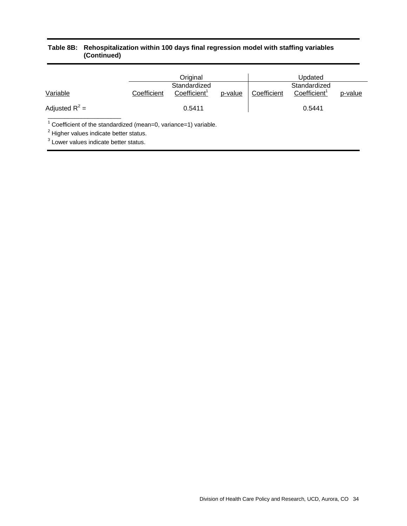#### **Table 8B: Rehospitalization within 100 days final regression model with staffing variables (Continued)**

|                                                                             | Original    |                          | Updated |             |                          |         |
|-----------------------------------------------------------------------------|-------------|--------------------------|---------|-------------|--------------------------|---------|
|                                                                             |             | Standardized             |         |             | Standardized             |         |
| Variable                                                                    | Coefficient | Coefficient <sup>1</sup> | p-value | Coefficient | Coefficient <sup>1</sup> | p-value |
| Adjusted $R^2$ =                                                            |             | 0.5411                   |         |             | 0.5441                   |         |
| <sup>1</sup> Coefficient of the standardized (mean=0, variance=1) variable. |             |                          |         |             |                          |         |
| <sup>2</sup> Higher values indicate better status.                          |             |                          |         |             |                          |         |

<sup>3</sup> Lower values indicate better status.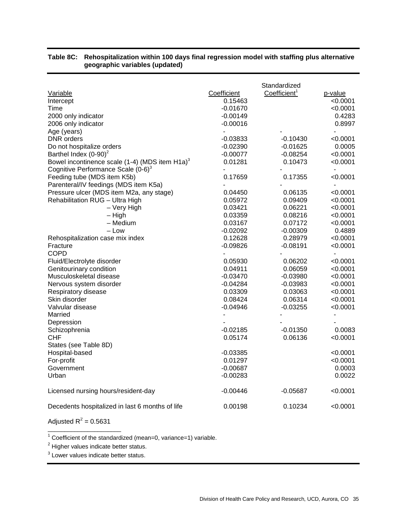| Variable                                                   | Coefficient | Standardized<br>Coefficient <sup>1</sup> | p-value                  |
|------------------------------------------------------------|-------------|------------------------------------------|--------------------------|
| Intercept                                                  | 0.15463     |                                          | < 0.0001                 |
| Time                                                       | $-0.01670$  |                                          | < 0.0001                 |
| 2000 only indicator                                        | $-0.00149$  |                                          | 0.4283                   |
| 2006 only indicator                                        | -0.00016    |                                          | 0.8997                   |
| Age (years)                                                |             |                                          |                          |
| DNR orders                                                 | -0.03833    | $-0.10430$                               | <0.0001                  |
| Do not hospitalize orders                                  | $-0.02390$  | $-0.01625$                               | 0.0005                   |
| Barthel Index $(0-90)^2$                                   | -0.00077    | $-0.08254$                               | < 0.0001                 |
| Bowel incontinence scale (1-4) (MDS item H1a) <sup>3</sup> | 0.01281     | 0.10473                                  | < 0.0001                 |
| Cognitive Performance Scale $(0-6)^3$                      |             |                                          | $\blacksquare$           |
| Feeding tube (MDS item K5b)                                | 0.17659     | 0.17355                                  | < 0.0001                 |
| Parenteral/IV feedings (MDS item K5a)                      |             |                                          |                          |
| Pressure ulcer (MDS item M2a, any stage)                   | 0.04450     | 0.06135                                  | <0.0001                  |
| Rehabilitation RUG - Ultra High                            | 0.05972     | 0.09409                                  | < 0.0001                 |
| - Very High                                                | 0.03421     | 0.06221                                  | < 0.0001                 |
| $-$ High                                                   | 0.03359     | 0.08216                                  | < 0.0001                 |
| - Medium                                                   | 0.03167     | 0.07172                                  | < 0.0001                 |
| – Low                                                      | -0.02092    | $-0.00309$                               | 0.4889                   |
| Rehospitalization case mix index                           | 0.12628     | 0.28979                                  | < 0.0001                 |
| Fracture                                                   | $-0.09826$  | $-0.08191$                               | < 0.0001                 |
| <b>COPD</b>                                                |             |                                          |                          |
| Fluid/Electrolyte disorder                                 | 0.05930     | 0.06202                                  | <0.0001                  |
| Genitourinary condition                                    | 0.04911     | 0.06059                                  | < 0.0001                 |
| Musculoskeletal disease                                    | $-0.03470$  | $-0.03980$                               | < 0.0001                 |
| Nervous system disorder                                    | $-0.04284$  | $-0.03983$                               | < 0.0001                 |
| Respiratory disease                                        | 0.03309     | 0.03063                                  | < 0.0001                 |
| Skin disorder                                              | 0.08424     | 0.06314                                  | < 0.0001                 |
| Valvular disease                                           | -0.04946    | $-0.03255$                               | < 0.0001                 |
| Married                                                    |             |                                          | $\overline{\phantom{0}}$ |
| Depression                                                 |             |                                          |                          |
| Schizophrenia                                              | $-0.02185$  | $-0.01350$                               | 0.0083                   |
| CHF                                                        | 0.05174     | 0.06136                                  | < 0.0001                 |
| States (see Table 8D)                                      |             |                                          |                          |
| Hospital-based                                             | -0.03385    |                                          | < 0.0001                 |
| For-profit                                                 | 0.01297     |                                          | < 0.0001                 |
| Government                                                 | $-0.00687$  |                                          | 0.0003                   |
| Urban                                                      | $-0.00283$  |                                          | 0.0022                   |
| Licensed nursing hours/resident-day                        | -0.00446    | $-0.05687$                               | < 0.0001                 |
| Decedents hospitalized in last 6 months of life            | 0.00198     | 0.10234                                  | < 0.0001                 |

## **Table 8C: Rehospitalization within 100 days final regression model with staffing plus alternative geographic variables (updated)**

Adjusted  $R^2$  = 0.5631

\_\_\_\_\_\_\_\_\_\_\_\_\_\_\_\_\_\_\_\_\_\_

 $1$  Coefficient of the standardized (mean=0, variance=1) variable.

 $2$  Higher values indicate better status.

<sup>3</sup> Lower values indicate better status.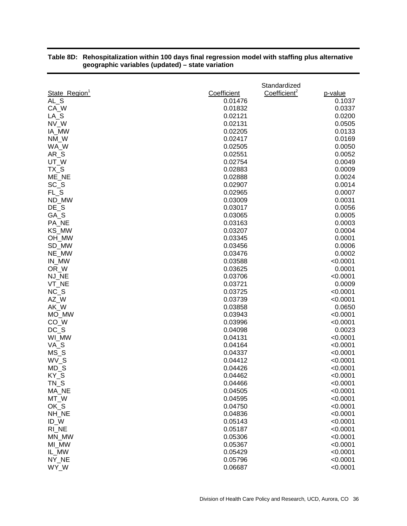| Coefficient <sup>2</sup><br>State_Region <sup>1</sup><br>Coefficient<br>p-value<br>AL S<br>0.01476<br>0.1037<br>CA_W<br>0.01832<br>0.0337<br>$LA_S$<br>0.02121<br>0.0200<br>NV_W<br>0.02131<br>0.0505<br>IA_MW<br>0.02205<br>0.0133<br>NM_W<br>0.02417<br>0.0169<br>WA_W<br>0.02505<br>0.0050<br>$AR_S$<br>0.02551<br>0.0052<br>UT_W<br>0.02754<br>0.0049<br>$TX_S$<br>0.02883<br>0.0009<br>ME_NE<br>0.0024<br>0.02888<br>$SC_S$<br>0.02907<br>0.0014<br>$FL_S$<br>0.02965<br>0.0007<br>0.0031<br>ND_MW<br>0.03009<br>$DE_S$<br>0.03017<br>0.0056<br>GA_S<br>0.0005<br>0.03065<br>0.0003<br>PA_NE<br>0.03163<br>KS_MW<br>0.03207<br>0.0004<br>OH_MW<br>0.03345<br>0.0001<br>SD_MW<br>0.03456<br>0.0006<br>NE_MW<br>0.03476<br>0.0002<br>IN_MW<br>0.03588<br>< 0.0001<br>0.0001<br>OR_W<br>0.03625<br>NJ_NE<br>0.03706<br>< 0.0001<br>VT_NE<br>0.03721<br>0.0009<br>$NC_S$<br>0.03725<br>< 0.0001<br>AZ_W<br>0.03739<br>< 0.0001<br>AK_W<br>0.03858<br>0.0650<br>MO_MW<br>0.03943<br>< 0.0001<br>CO_W<br>0.03996<br>< 0.0001<br>$DC_S$<br>0.0023<br>0.04098<br>< 0.0001<br>WI_MW<br>0.04131<br>VA_S<br>0.04164<br>< 0.0001<br>$MS_S$<br>0.04337<br>< 0.0001<br>WV S<br>0.04412<br>< 0.0001<br>$MD_S$<br>0.04426<br>< 0.0001<br>KY_S<br>0.04462<br>< 0.0001<br>$TN_S$<br>< 0.0001<br>0.04466<br>MA_NE<br>0.04505<br>< 0.0001<br>MT_W<br>< 0.0001<br>0.04595<br>OK_S<br>0.04750<br>< 0.0001<br>< 0.0001<br>NH_NE<br>0.04836<br>ID_W<br>< 0.0001<br>0.05143<br>RI_NE<br>< 0.0001<br>0.05187<br>MN_MW<br>0.05306<br>< 0.0001<br>MI_MW<br>0.05367<br>< 0.0001<br>IL_MW<br>0.05429<br>< 0.0001<br>NY_NE<br>0.05796<br>< 0.0001<br>WY_W<br>0.06687<br>< 0.0001 |  | Standardized |  |
|--------------------------------------------------------------------------------------------------------------------------------------------------------------------------------------------------------------------------------------------------------------------------------------------------------------------------------------------------------------------------------------------------------------------------------------------------------------------------------------------------------------------------------------------------------------------------------------------------------------------------------------------------------------------------------------------------------------------------------------------------------------------------------------------------------------------------------------------------------------------------------------------------------------------------------------------------------------------------------------------------------------------------------------------------------------------------------------------------------------------------------------------------------------------------------------------------------------------------------------------------------------------------------------------------------------------------------------------------------------------------------------------------------------------------------------------------------------------------------------------------------------------------------------------------------------------------------------------------------------------------------------------------------|--|--------------|--|
|                                                                                                                                                                                                                                                                                                                                                                                                                                                                                                                                                                                                                                                                                                                                                                                                                                                                                                                                                                                                                                                                                                                                                                                                                                                                                                                                                                                                                                                                                                                                                                                                                                                        |  |              |  |
|                                                                                                                                                                                                                                                                                                                                                                                                                                                                                                                                                                                                                                                                                                                                                                                                                                                                                                                                                                                                                                                                                                                                                                                                                                                                                                                                                                                                                                                                                                                                                                                                                                                        |  |              |  |
|                                                                                                                                                                                                                                                                                                                                                                                                                                                                                                                                                                                                                                                                                                                                                                                                                                                                                                                                                                                                                                                                                                                                                                                                                                                                                                                                                                                                                                                                                                                                                                                                                                                        |  |              |  |
|                                                                                                                                                                                                                                                                                                                                                                                                                                                                                                                                                                                                                                                                                                                                                                                                                                                                                                                                                                                                                                                                                                                                                                                                                                                                                                                                                                                                                                                                                                                                                                                                                                                        |  |              |  |
|                                                                                                                                                                                                                                                                                                                                                                                                                                                                                                                                                                                                                                                                                                                                                                                                                                                                                                                                                                                                                                                                                                                                                                                                                                                                                                                                                                                                                                                                                                                                                                                                                                                        |  |              |  |
|                                                                                                                                                                                                                                                                                                                                                                                                                                                                                                                                                                                                                                                                                                                                                                                                                                                                                                                                                                                                                                                                                                                                                                                                                                                                                                                                                                                                                                                                                                                                                                                                                                                        |  |              |  |
|                                                                                                                                                                                                                                                                                                                                                                                                                                                                                                                                                                                                                                                                                                                                                                                                                                                                                                                                                                                                                                                                                                                                                                                                                                                                                                                                                                                                                                                                                                                                                                                                                                                        |  |              |  |
|                                                                                                                                                                                                                                                                                                                                                                                                                                                                                                                                                                                                                                                                                                                                                                                                                                                                                                                                                                                                                                                                                                                                                                                                                                                                                                                                                                                                                                                                                                                                                                                                                                                        |  |              |  |
|                                                                                                                                                                                                                                                                                                                                                                                                                                                                                                                                                                                                                                                                                                                                                                                                                                                                                                                                                                                                                                                                                                                                                                                                                                                                                                                                                                                                                                                                                                                                                                                                                                                        |  |              |  |
|                                                                                                                                                                                                                                                                                                                                                                                                                                                                                                                                                                                                                                                                                                                                                                                                                                                                                                                                                                                                                                                                                                                                                                                                                                                                                                                                                                                                                                                                                                                                                                                                                                                        |  |              |  |
|                                                                                                                                                                                                                                                                                                                                                                                                                                                                                                                                                                                                                                                                                                                                                                                                                                                                                                                                                                                                                                                                                                                                                                                                                                                                                                                                                                                                                                                                                                                                                                                                                                                        |  |              |  |
|                                                                                                                                                                                                                                                                                                                                                                                                                                                                                                                                                                                                                                                                                                                                                                                                                                                                                                                                                                                                                                                                                                                                                                                                                                                                                                                                                                                                                                                                                                                                                                                                                                                        |  |              |  |
|                                                                                                                                                                                                                                                                                                                                                                                                                                                                                                                                                                                                                                                                                                                                                                                                                                                                                                                                                                                                                                                                                                                                                                                                                                                                                                                                                                                                                                                                                                                                                                                                                                                        |  |              |  |
|                                                                                                                                                                                                                                                                                                                                                                                                                                                                                                                                                                                                                                                                                                                                                                                                                                                                                                                                                                                                                                                                                                                                                                                                                                                                                                                                                                                                                                                                                                                                                                                                                                                        |  |              |  |
|                                                                                                                                                                                                                                                                                                                                                                                                                                                                                                                                                                                                                                                                                                                                                                                                                                                                                                                                                                                                                                                                                                                                                                                                                                                                                                                                                                                                                                                                                                                                                                                                                                                        |  |              |  |
|                                                                                                                                                                                                                                                                                                                                                                                                                                                                                                                                                                                                                                                                                                                                                                                                                                                                                                                                                                                                                                                                                                                                                                                                                                                                                                                                                                                                                                                                                                                                                                                                                                                        |  |              |  |
|                                                                                                                                                                                                                                                                                                                                                                                                                                                                                                                                                                                                                                                                                                                                                                                                                                                                                                                                                                                                                                                                                                                                                                                                                                                                                                                                                                                                                                                                                                                                                                                                                                                        |  |              |  |
|                                                                                                                                                                                                                                                                                                                                                                                                                                                                                                                                                                                                                                                                                                                                                                                                                                                                                                                                                                                                                                                                                                                                                                                                                                                                                                                                                                                                                                                                                                                                                                                                                                                        |  |              |  |
|                                                                                                                                                                                                                                                                                                                                                                                                                                                                                                                                                                                                                                                                                                                                                                                                                                                                                                                                                                                                                                                                                                                                                                                                                                                                                                                                                                                                                                                                                                                                                                                                                                                        |  |              |  |
|                                                                                                                                                                                                                                                                                                                                                                                                                                                                                                                                                                                                                                                                                                                                                                                                                                                                                                                                                                                                                                                                                                                                                                                                                                                                                                                                                                                                                                                                                                                                                                                                                                                        |  |              |  |
|                                                                                                                                                                                                                                                                                                                                                                                                                                                                                                                                                                                                                                                                                                                                                                                                                                                                                                                                                                                                                                                                                                                                                                                                                                                                                                                                                                                                                                                                                                                                                                                                                                                        |  |              |  |
|                                                                                                                                                                                                                                                                                                                                                                                                                                                                                                                                                                                                                                                                                                                                                                                                                                                                                                                                                                                                                                                                                                                                                                                                                                                                                                                                                                                                                                                                                                                                                                                                                                                        |  |              |  |
|                                                                                                                                                                                                                                                                                                                                                                                                                                                                                                                                                                                                                                                                                                                                                                                                                                                                                                                                                                                                                                                                                                                                                                                                                                                                                                                                                                                                                                                                                                                                                                                                                                                        |  |              |  |
|                                                                                                                                                                                                                                                                                                                                                                                                                                                                                                                                                                                                                                                                                                                                                                                                                                                                                                                                                                                                                                                                                                                                                                                                                                                                                                                                                                                                                                                                                                                                                                                                                                                        |  |              |  |
|                                                                                                                                                                                                                                                                                                                                                                                                                                                                                                                                                                                                                                                                                                                                                                                                                                                                                                                                                                                                                                                                                                                                                                                                                                                                                                                                                                                                                                                                                                                                                                                                                                                        |  |              |  |
|                                                                                                                                                                                                                                                                                                                                                                                                                                                                                                                                                                                                                                                                                                                                                                                                                                                                                                                                                                                                                                                                                                                                                                                                                                                                                                                                                                                                                                                                                                                                                                                                                                                        |  |              |  |
|                                                                                                                                                                                                                                                                                                                                                                                                                                                                                                                                                                                                                                                                                                                                                                                                                                                                                                                                                                                                                                                                                                                                                                                                                                                                                                                                                                                                                                                                                                                                                                                                                                                        |  |              |  |
|                                                                                                                                                                                                                                                                                                                                                                                                                                                                                                                                                                                                                                                                                                                                                                                                                                                                                                                                                                                                                                                                                                                                                                                                                                                                                                                                                                                                                                                                                                                                                                                                                                                        |  |              |  |
|                                                                                                                                                                                                                                                                                                                                                                                                                                                                                                                                                                                                                                                                                                                                                                                                                                                                                                                                                                                                                                                                                                                                                                                                                                                                                                                                                                                                                                                                                                                                                                                                                                                        |  |              |  |
|                                                                                                                                                                                                                                                                                                                                                                                                                                                                                                                                                                                                                                                                                                                                                                                                                                                                                                                                                                                                                                                                                                                                                                                                                                                                                                                                                                                                                                                                                                                                                                                                                                                        |  |              |  |
|                                                                                                                                                                                                                                                                                                                                                                                                                                                                                                                                                                                                                                                                                                                                                                                                                                                                                                                                                                                                                                                                                                                                                                                                                                                                                                                                                                                                                                                                                                                                                                                                                                                        |  |              |  |
|                                                                                                                                                                                                                                                                                                                                                                                                                                                                                                                                                                                                                                                                                                                                                                                                                                                                                                                                                                                                                                                                                                                                                                                                                                                                                                                                                                                                                                                                                                                                                                                                                                                        |  |              |  |
|                                                                                                                                                                                                                                                                                                                                                                                                                                                                                                                                                                                                                                                                                                                                                                                                                                                                                                                                                                                                                                                                                                                                                                                                                                                                                                                                                                                                                                                                                                                                                                                                                                                        |  |              |  |
|                                                                                                                                                                                                                                                                                                                                                                                                                                                                                                                                                                                                                                                                                                                                                                                                                                                                                                                                                                                                                                                                                                                                                                                                                                                                                                                                                                                                                                                                                                                                                                                                                                                        |  |              |  |
|                                                                                                                                                                                                                                                                                                                                                                                                                                                                                                                                                                                                                                                                                                                                                                                                                                                                                                                                                                                                                                                                                                                                                                                                                                                                                                                                                                                                                                                                                                                                                                                                                                                        |  |              |  |
|                                                                                                                                                                                                                                                                                                                                                                                                                                                                                                                                                                                                                                                                                                                                                                                                                                                                                                                                                                                                                                                                                                                                                                                                                                                                                                                                                                                                                                                                                                                                                                                                                                                        |  |              |  |
|                                                                                                                                                                                                                                                                                                                                                                                                                                                                                                                                                                                                                                                                                                                                                                                                                                                                                                                                                                                                                                                                                                                                                                                                                                                                                                                                                                                                                                                                                                                                                                                                                                                        |  |              |  |
|                                                                                                                                                                                                                                                                                                                                                                                                                                                                                                                                                                                                                                                                                                                                                                                                                                                                                                                                                                                                                                                                                                                                                                                                                                                                                                                                                                                                                                                                                                                                                                                                                                                        |  |              |  |
|                                                                                                                                                                                                                                                                                                                                                                                                                                                                                                                                                                                                                                                                                                                                                                                                                                                                                                                                                                                                                                                                                                                                                                                                                                                                                                                                                                                                                                                                                                                                                                                                                                                        |  |              |  |
|                                                                                                                                                                                                                                                                                                                                                                                                                                                                                                                                                                                                                                                                                                                                                                                                                                                                                                                                                                                                                                                                                                                                                                                                                                                                                                                                                                                                                                                                                                                                                                                                                                                        |  |              |  |
|                                                                                                                                                                                                                                                                                                                                                                                                                                                                                                                                                                                                                                                                                                                                                                                                                                                                                                                                                                                                                                                                                                                                                                                                                                                                                                                                                                                                                                                                                                                                                                                                                                                        |  |              |  |
|                                                                                                                                                                                                                                                                                                                                                                                                                                                                                                                                                                                                                                                                                                                                                                                                                                                                                                                                                                                                                                                                                                                                                                                                                                                                                                                                                                                                                                                                                                                                                                                                                                                        |  |              |  |
|                                                                                                                                                                                                                                                                                                                                                                                                                                                                                                                                                                                                                                                                                                                                                                                                                                                                                                                                                                                                                                                                                                                                                                                                                                                                                                                                                                                                                                                                                                                                                                                                                                                        |  |              |  |
|                                                                                                                                                                                                                                                                                                                                                                                                                                                                                                                                                                                                                                                                                                                                                                                                                                                                                                                                                                                                                                                                                                                                                                                                                                                                                                                                                                                                                                                                                                                                                                                                                                                        |  |              |  |
|                                                                                                                                                                                                                                                                                                                                                                                                                                                                                                                                                                                                                                                                                                                                                                                                                                                                                                                                                                                                                                                                                                                                                                                                                                                                                                                                                                                                                                                                                                                                                                                                                                                        |  |              |  |
|                                                                                                                                                                                                                                                                                                                                                                                                                                                                                                                                                                                                                                                                                                                                                                                                                                                                                                                                                                                                                                                                                                                                                                                                                                                                                                                                                                                                                                                                                                                                                                                                                                                        |  |              |  |
|                                                                                                                                                                                                                                                                                                                                                                                                                                                                                                                                                                                                                                                                                                                                                                                                                                                                                                                                                                                                                                                                                                                                                                                                                                                                                                                                                                                                                                                                                                                                                                                                                                                        |  |              |  |
|                                                                                                                                                                                                                                                                                                                                                                                                                                                                                                                                                                                                                                                                                                                                                                                                                                                                                                                                                                                                                                                                                                                                                                                                                                                                                                                                                                                                                                                                                                                                                                                                                                                        |  |              |  |
|                                                                                                                                                                                                                                                                                                                                                                                                                                                                                                                                                                                                                                                                                                                                                                                                                                                                                                                                                                                                                                                                                                                                                                                                                                                                                                                                                                                                                                                                                                                                                                                                                                                        |  |              |  |
|                                                                                                                                                                                                                                                                                                                                                                                                                                                                                                                                                                                                                                                                                                                                                                                                                                                                                                                                                                                                                                                                                                                                                                                                                                                                                                                                                                                                                                                                                                                                                                                                                                                        |  |              |  |

#### **Table 8D: Rehospitalization within 100 days final regression model with staffing plus alternative geographic variables (updated) – state variation**